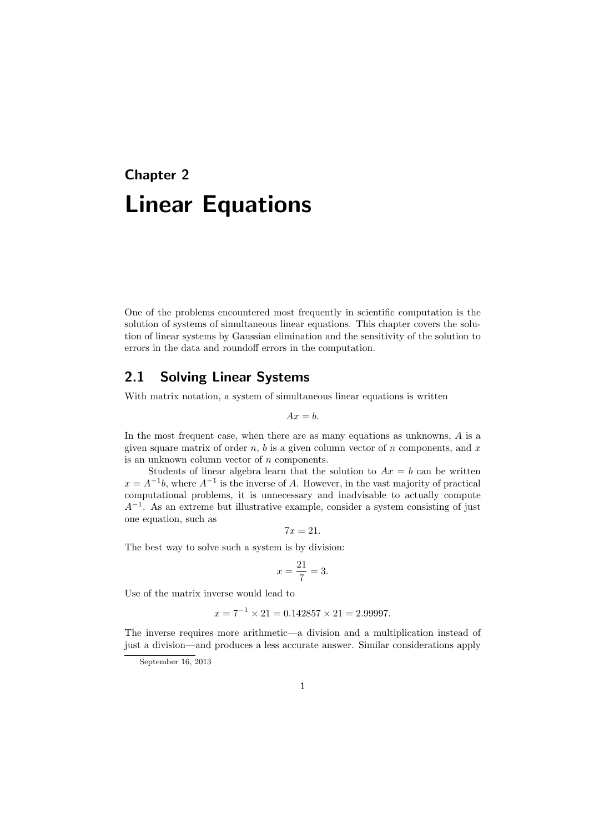## **Chapter 2 Linear Equations**

One of the problems encountered most frequently in scientific computation is the solution of systems of simultaneous linear equations. This chapter covers the solution of linear systems by Gaussian elimination and the sensitivity of the solution to errors in the data and roundoff errors in the computation.

## **2.1 Solving Linear Systems**

With matrix notation, a system of simultaneous linear equations is written

$$
Ax = b.
$$

In the most frequent case, when there are as many equations as unknowns, *A* is a given square matrix of order *n*, *b* is a given column vector of *n* components, and *x* is an unknown column vector of *n* components.

Students of linear algebra learn that the solution to  $Ax = b$  can be written  $x = A^{-1}b$ , where  $A^{-1}$  is the inverse of *A*. However, in the vast majority of practical computational problems, it is unnecessary and inadvisable to actually compute *A*<sup>−1</sup>. As an extreme but illustrative example, consider a system consisting of just one equation, such as

$$
7x=21.
$$

The best way to solve such a system is by division:

$$
x = \frac{21}{7} = 3.
$$

Use of the matrix inverse would lead to

$$
x = 7^{-1} \times 21 = 0.142857 \times 21 = 2.99997.
$$

The inverse requires more arithmetic—a division and a multiplication instead of just a division—and produces a less accurate answer. Similar considerations apply

September 16, 2013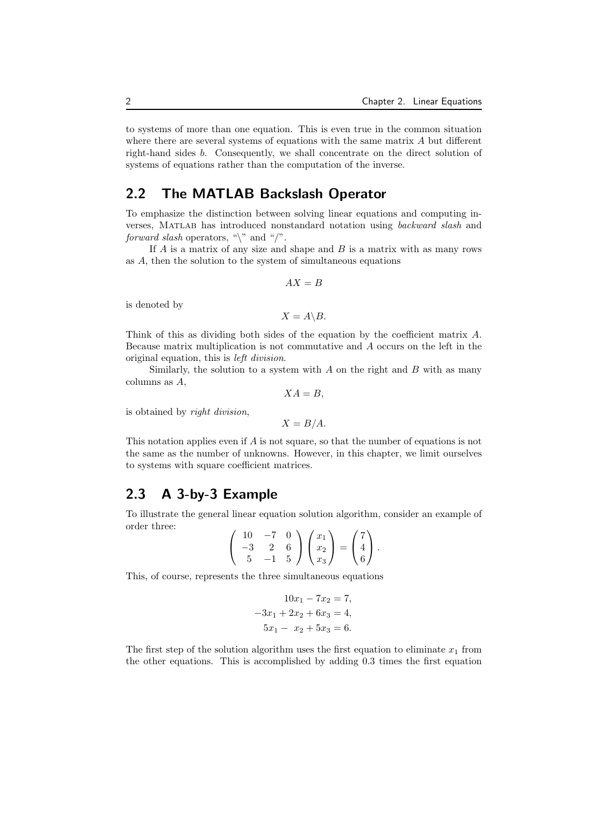to systems of more than one equation. This is even true in the common situation where there are several systems of equations with the same matrix *A* but different right-hand sides *b*. Consequently, we shall concentrate on the direct solution of systems of equations rather than the computation of the inverse.

## **2.2 The MATLAB Backslash Operator**

To emphasize the distinction between solving linear equations and computing inverses, Matlab has introduced nonstandard notation using *backward slash* and *forward slash* operators, " $\mathcal{N}$ " and "/".

If *A* is a matrix of any size and shape and *B* is a matrix with as many rows as *A*, then the solution to the system of simultaneous equations

$$
AX = B
$$

is denoted by

$$
X=A\backslash B.
$$

Think of this as dividing both sides of the equation by the coefficient matrix *A*. Because matrix multiplication is not commutative and *A* occurs on the left in the original equation, this is *left division*.

Similarly, the solution to a system with *A* on the right and *B* with as many columns as *A*,

$$
XA = B,
$$

is obtained by *right division*,

 $X = B/A$ .

This notation applies even if *A* is not square, so that the number of equations is not the same as the number of unknowns. However, in this chapter, we limit ourselves to systems with square coefficient matrices.

## **2.3 A 3-by-3 Example**

To illustrate the general linear equation solution algorithm, consider an example of order three:  $\lambda$ 

$$
\begin{pmatrix} 10 & -7 & 0 \ -3 & 2 & 6 \ 5 & -1 & 5 \end{pmatrix} \begin{pmatrix} x_1 \ x_2 \ x_3 \end{pmatrix} = \begin{pmatrix} 7 \ 4 \ 6 \end{pmatrix}.
$$

This, of course, represents the three simultaneous equations

$$
10x_1 - 7x_2 = 7,
$$
  

$$
-3x_1 + 2x_2 + 6x_3 = 4,
$$
  

$$
5x_1 - x_2 + 5x_3 = 6.
$$

The first step of the solution algorithm uses the first equation to eliminate  $x_1$  from the other equations. This is accomplished by adding 0.3 times the first equation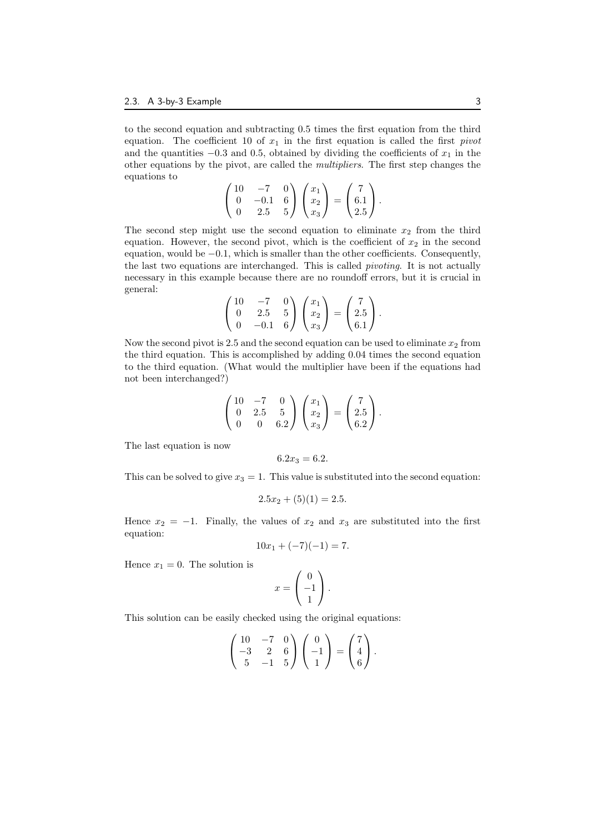to the second equation and subtracting 0.5 times the first equation from the third equation. The coefficient 10 of *x*<sup>1</sup> in the first equation is called the first *pivot* and the quantities  $-0.3$  and 0.5, obtained by dividing the coefficients of  $x_1$  in the other equations by the pivot, are called the *multipliers*. The first step changes the equations to

$$
\begin{pmatrix} 10 & -7 & 0 \ 0 & -0.1 & 6 \ 0 & 2.5 & 5 \end{pmatrix} \begin{pmatrix} x_1 \ x_2 \ x_3 \end{pmatrix} = \begin{pmatrix} 7 \ 6.1 \ 2.5 \end{pmatrix}.
$$

The second step might use the second equation to eliminate  $x_2$  from the third equation. However, the second pivot, which is the coefficient of *x*<sup>2</sup> in the second equation, would be *−*0*.*1, which is smaller than the other coefficients. Consequently, the last two equations are interchanged. This is called *pivoting*. It is not actually necessary in this example because there are no roundoff errors, but it is crucial in general:  $\sim$ 

$$
\begin{pmatrix} 10 & -7 & 0 \ 0 & 2.5 & 5 \ 0 & -0.1 & 6 \end{pmatrix} \begin{pmatrix} x_1 \ x_2 \ x_3 \end{pmatrix} = \begin{pmatrix} 7 \ 2.5 \ 6.1 \end{pmatrix}.
$$

Now the second pivot is 2.5 and the second equation can be used to eliminate *x*<sup>2</sup> from the third equation. This is accomplished by adding 0.04 times the second equation to the third equation. (What would the multiplier have been if the equations had not been interchanged?)

$$
\begin{pmatrix} 10 & -7 & 0 \ 0 & 2.5 & 5 \ 0 & 0 & 6.2 \end{pmatrix} \begin{pmatrix} x_1 \ x_2 \ x_3 \end{pmatrix} = \begin{pmatrix} 7 \ 2.5 \ 6.2 \end{pmatrix}.
$$

The last equation is now

$$
6.2x_3 = 6.2.
$$

This can be solved to give  $x_3 = 1$ . This value is substituted into the second equation:

$$
2.5x_2 + (5)(1) = 2.5.
$$

Hence  $x_2 = -1$ . Finally, the values of  $x_2$  and  $x_3$  are substituted into the first equation:

$$
10x_1 + (-7)(-1) = 7.
$$

Hence  $x_1 = 0$ . The solution is

$$
x = \begin{pmatrix} 0 \\ -1 \\ 1 \end{pmatrix}.
$$

This solution can be easily checked using the original equations:

$$
\begin{pmatrix} 10 & -7 & 0 \ -3 & 2 & 6 \ 5 & -1 & 5 \end{pmatrix} \begin{pmatrix} 0 \ -1 \ 1 \end{pmatrix} = \begin{pmatrix} 7 \ 4 \ 6 \end{pmatrix}.
$$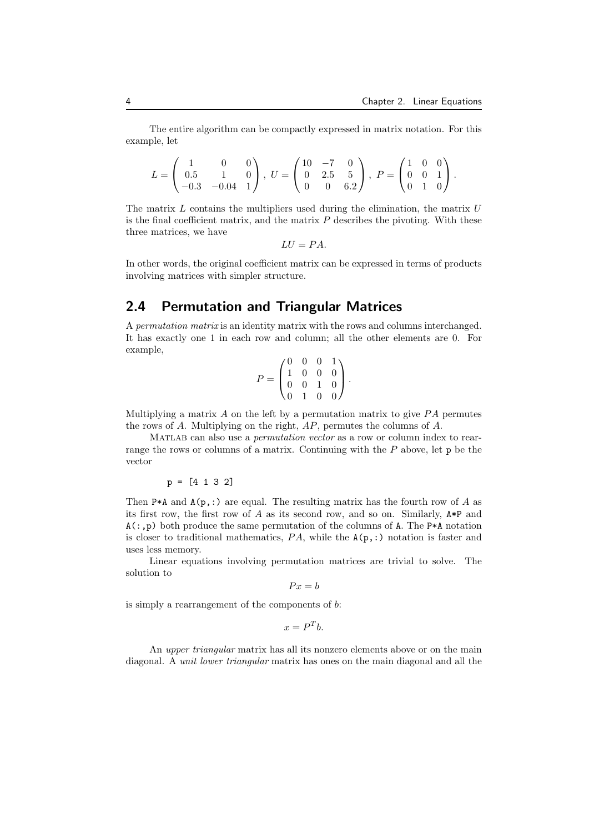The entire algorithm can be compactly expressed in matrix notation. For this example, let

$$
L = \begin{pmatrix} 1 & 0 & 0 \\ 0.5 & 1 & 0 \\ -0.3 & -0.04 & 1 \end{pmatrix}, \ U = \begin{pmatrix} 10 & -7 & 0 \\ 0 & 2.5 & 5 \\ 0 & 0 & 6.2 \end{pmatrix}, \ P = \begin{pmatrix} 1 & 0 & 0 \\ 0 & 0 & 1 \\ 0 & 1 & 0 \end{pmatrix}.
$$

The matrix *L* contains the multipliers used during the elimination, the matrix *U* is the final coefficient matrix, and the matrix *P* describes the pivoting. With these three matrices, we have

$$
LU = PA.
$$

In other words, the original coefficient matrix can be expressed in terms of products involving matrices with simpler structure.

## **2.4 Permutation and Triangular Matrices**

A *permutation matrix* is an identity matrix with the rows and columns interchanged. It has exactly one 1 in each row and column; all the other elements are 0. For example,

$$
P = \begin{pmatrix} 0 & 0 & 0 & 1 \\ 1 & 0 & 0 & 0 \\ 0 & 0 & 1 & 0 \\ 0 & 1 & 0 & 0 \end{pmatrix}.
$$

Multiplying a matrix *A* on the left by a permutation matrix to give *P A* permutes the rows of *A*. Multiplying on the right, *AP*, permutes the columns of *A*.

Matlab can also use a *permutation vector* as a row or column index to rearrange the rows or columns of a matrix. Continuing with the *P* above, let p be the vector

$$
p = [4 1 3 2]
$$

Then P<sup>\*</sup>A and  $A(p,.)$  are equal. The resulting matrix has the fourth row of A as its first row, the first row of *A* as its second row, and so on. Similarly, A\*P and  $A($ :, p) both produce the same permutation of the columns of A. The P\*A notation is closer to traditional mathematics,  $PA$ , while the  $A(p,:)$  notation is faster and uses less memory.

Linear equations involving permutation matrices are trivial to solve. The solution to

 $Px = b$ 

is simply a rearrangement of the components of *b*:

$$
x = P^T b.
$$

An *upper triangular* matrix has all its nonzero elements above or on the main diagonal. A *unit lower triangular* matrix has ones on the main diagonal and all the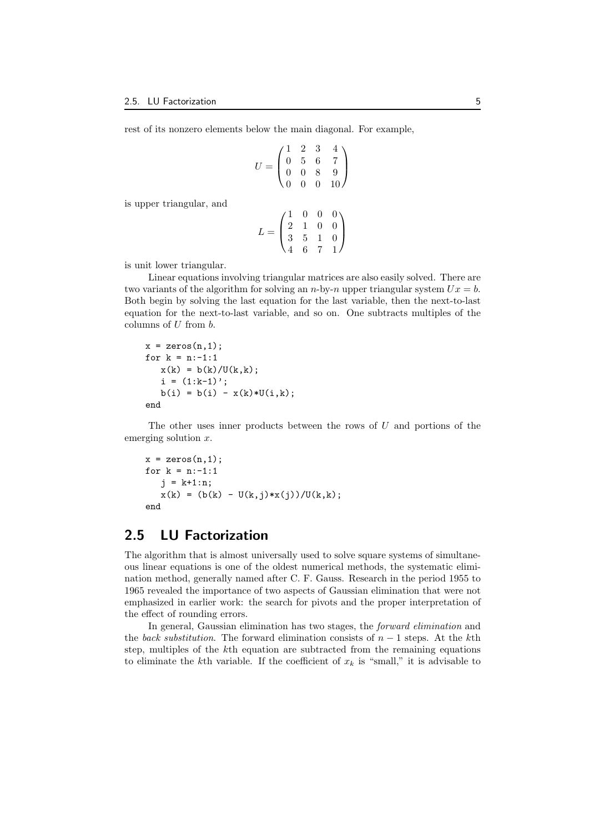rest of its nonzero elements below the main diagonal. For example,

$$
U = \begin{pmatrix} 1 & 2 & 3 & 4 \\ 0 & 5 & 6 & 7 \\ 0 & 0 & 8 & 9 \\ 0 & 0 & 0 & 10 \end{pmatrix}
$$

is upper triangular, and

$$
L=\begin{pmatrix} 1 & 0 & 0 & 0 \\ 2 & 1 & 0 & 0 \\ 3 & 5 & 1 & 0 \\ 4 & 6 & 7 & 1 \end{pmatrix}
$$

is unit lower triangular.

Linear equations involving triangular matrices are also easily solved. There are two variants of the algorithm for solving an *n*-by-*n* upper triangular system  $Ux = b$ . Both begin by solving the last equation for the last variable, then the next-to-last equation for the next-to-last variable, and so on. One subtracts multiples of the columns of *U* from *b*.

```
x = zeros(n, 1);for k = n:-1:1x(k) = b(k)/U(k, k);i = (1:k-1);
  b(i) = b(i) - x(k)*U(i,k);end
```
The other uses inner products between the rows of *U* and portions of the emerging solution *x*.

```
x = zeros(n, 1);for k = n:-1:1i = k+1:n;x(k) = (b(k) - U(k,j)*x(j))/U(k,k);end
```
## **2.5 LU Factorization**

The algorithm that is almost universally used to solve square systems of simultaneous linear equations is one of the oldest numerical methods, the systematic elimination method, generally named after C. F. Gauss. Research in the period 1955 to 1965 revealed the importance of two aspects of Gaussian elimination that were not emphasized in earlier work: the search for pivots and the proper interpretation of the effect of rounding errors.

In general, Gaussian elimination has two stages, the *forward elimination* and the *back substitution*. The forward elimination consists of *n −* 1 steps. At the *k*th step, multiples of the *k*th equation are subtracted from the remaining equations to eliminate the *k*th variable. If the coefficient of  $x_k$  is "small," it is advisable to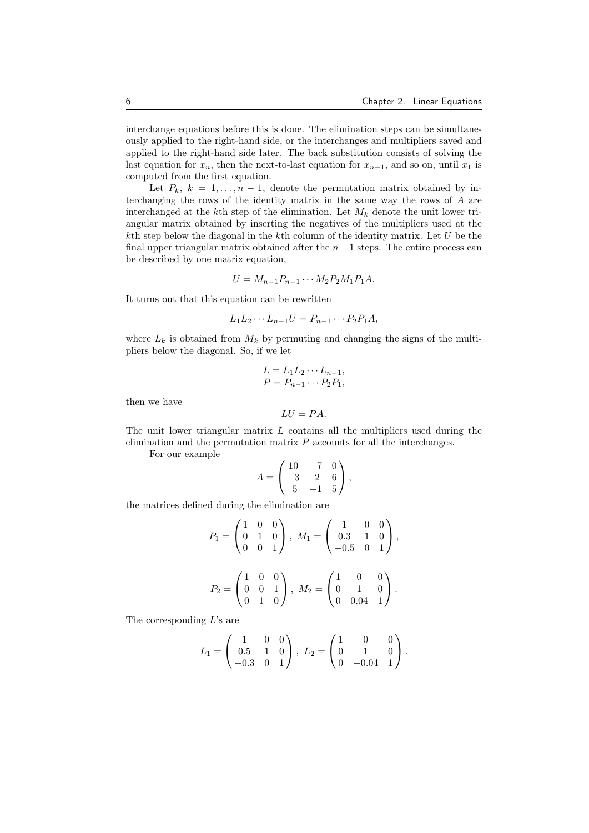interchange equations before this is done. The elimination steps can be simultaneously applied to the right-hand side, or the interchanges and multipliers saved and applied to the right-hand side later. The back substitution consists of solving the last equation for  $x_n$ , then the next-to-last equation for  $x_{n-1}$ , and so on, until  $x_1$  is computed from the first equation.

Let  $P_k$ ,  $k = 1, \ldots, n-1$ , denote the permutation matrix obtained by interchanging the rows of the identity matrix in the same way the rows of *A* are interchanged at the  $k$ <sup>th</sup> step of the elimination. Let  $M_k$  denote the unit lower triangular matrix obtained by inserting the negatives of the multipliers used at the *k*th step below the diagonal in the *k*th column of the identity matrix. Let *U* be the final upper triangular matrix obtained after the  $n-1$  steps. The entire process can be described by one matrix equation,

$$
U = M_{n-1}P_{n-1}\cdots M_2P_2M_1P_1A.
$$

It turns out that this equation can be rewritten

$$
L_1L_2\cdots L_{n-1}U=P_{n-1}\cdots P_2P_1A,
$$

where  $L_k$  is obtained from  $M_k$  by permuting and changing the signs of the multipliers below the diagonal. So, if we let

$$
L = L_1 L_2 \cdots L_{n-1},
$$
  

$$
P = P_{n-1} \cdots P_2 P_1,
$$

then we have

$$
LU = PA.
$$

The unit lower triangular matrix *L* contains all the multipliers used during the elimination and the permutation matrix *P* accounts for all the interchanges.

For our example

$$
A = \begin{pmatrix} 10 & -7 & 0 \\ -3 & 2 & 6 \\ 5 & -1 & 5 \end{pmatrix},
$$

the matrices defined during the elimination are

$$
P_1 = \begin{pmatrix} 1 & 0 & 0 \\ 0 & 1 & 0 \\ 0 & 0 & 1 \end{pmatrix}, M_1 = \begin{pmatrix} 1 & 0 & 0 \\ 0.3 & 1 & 0 \\ -0.5 & 0 & 1 \end{pmatrix},
$$
  

$$
P_2 = \begin{pmatrix} 1 & 0 & 0 \\ 0 & 0 & 1 \\ 0 & 1 & 0 \end{pmatrix}, M_2 = \begin{pmatrix} 1 & 0 & 0 \\ 0 & 1 & 0 \\ 0 & 0.04 & 1 \end{pmatrix}.
$$

The corresponding *L*'s are

$$
L_1 = \begin{pmatrix} 1 & 0 & 0 \\ 0.5 & 1 & 0 \\ -0.3 & 0 & 1 \end{pmatrix}, L_2 = \begin{pmatrix} 1 & 0 & 0 \\ 0 & 1 & 0 \\ 0 & -0.04 & 1 \end{pmatrix}.
$$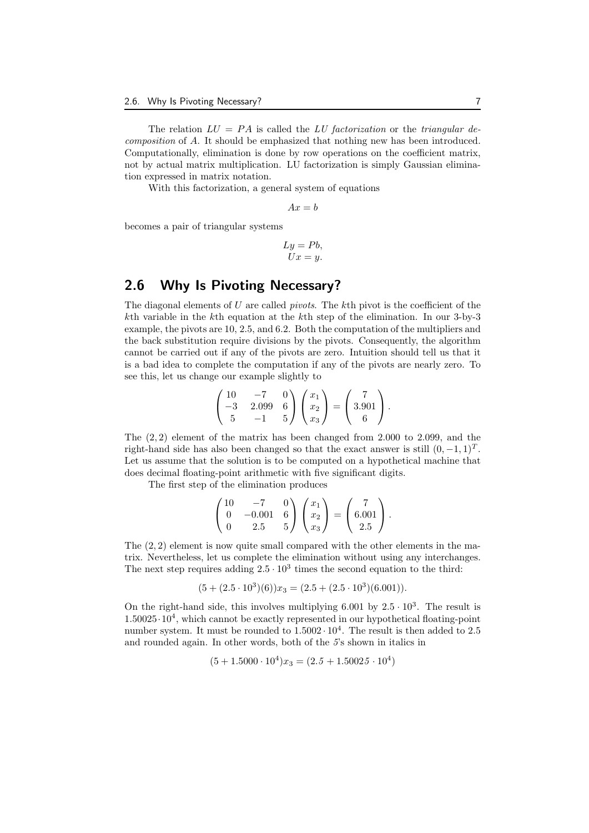The relation  $LU = PA$  is called the LU factorization or the *triangular decomposition* of *A*. It should be emphasized that nothing new has been introduced. Computationally, elimination is done by row operations on the coefficient matrix, not by actual matrix multiplication. LU factorization is simply Gaussian elimination expressed in matrix notation.

With this factorization, a general system of equations

 $Ax = b$ 

becomes a pair of triangular systems

 $Ly = Pb$ ,  $Ux = y$ .

#### **2.6 Why Is Pivoting Necessary?**

The diagonal elements of *U* are called *pivots*. The *k*th pivot is the coefficient of the *k*th variable in the *k*th equation at the *k*th step of the elimination. In our 3-by-3 example, the pivots are 10, 2.5, and 6.2. Both the computation of the multipliers and the back substitution require divisions by the pivots. Consequently, the algorithm cannot be carried out if any of the pivots are zero. Intuition should tell us that it is a bad idea to complete the computation if any of the pivots are nearly zero. To see this, let us change our example slightly to

$$
\begin{pmatrix} 10 & -7 & 0 \ -3 & 2.099 & 6 \ 5 & -1 & 5 \end{pmatrix} \begin{pmatrix} x_1 \ x_2 \ x_3 \end{pmatrix} = \begin{pmatrix} 7 \ 3.901 \ 6 \end{pmatrix}.
$$

The (2*,* 2) element of the matrix has been changed from 2.000 to 2.099, and the right-hand side has also been changed so that the exact answer is still  $(0, -1, 1)^T$ . Let us assume that the solution is to be computed on a hypothetical machine that does decimal floating-point arithmetic with five significant digits.

The first step of the elimination produces

$$
\begin{pmatrix} 10 & -7 & 0 \ 0 & -0.001 & 6 \ 0 & 2.5 & 5 \end{pmatrix} \begin{pmatrix} x_1 \ x_2 \ x_3 \end{pmatrix} = \begin{pmatrix} 7 \ 6.001 \ 2.5 \end{pmatrix}.
$$

The  $(2, 2)$  element is now quite small compared with the other elements in the matrix. Nevertheless, let us complete the elimination without using any interchanges. The next step requires adding  $2.5 \cdot 10^3$  times the second equation to the third:

$$
(5 + (2.5 \cdot 10^3)(6))x_3 = (2.5 + (2.5 \cdot 10^3)(6.001)).
$$

On the right-hand side, this involves multiplying  $6.001$  by  $2.5 \cdot 10^3$ . The result is <sup>1</sup>*.*50025*·*10<sup>4</sup> , which cannot be exactly represented in our hypothetical floating-point number system. It must be rounded to  $1.5002 \cdot 10^4$ . The result is then added to 2.5 and rounded again. In other words, both of the *5*'s shown in italics in

$$
(5+1.5000 \cdot 10^4)x_3 = (2.5+1.50025 \cdot 10^4)
$$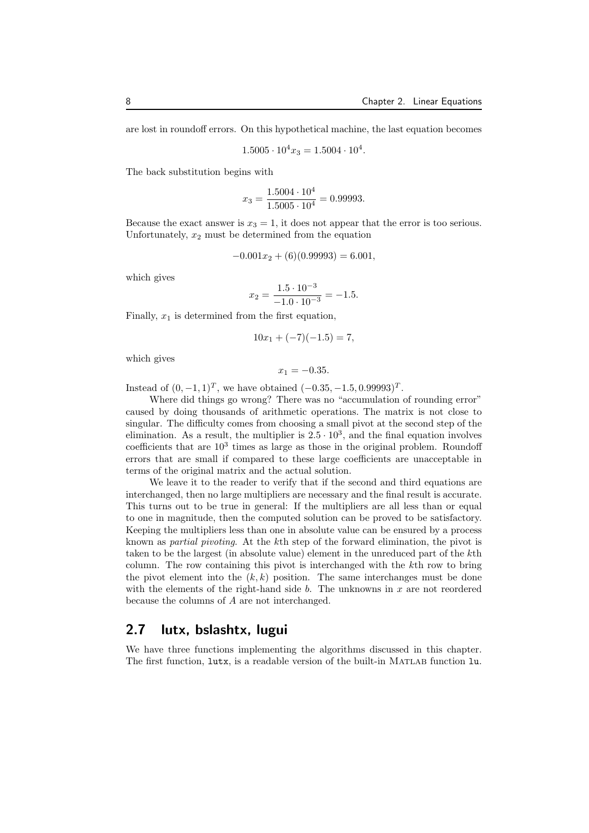are lost in roundoff errors. On this hypothetical machine, the last equation becomes

$$
1.5005 \cdot 10^4 x_3 = 1.5004 \cdot 10^4.
$$

The back substitution begins with

$$
x_3 = \frac{1.5004 \cdot 10^4}{1.5005 \cdot 10^4} = 0.99993.
$$

Because the exact answer is  $x_3 = 1$ , it does not appear that the error is too serious. Unfortunately, *x*<sup>2</sup> must be determined from the equation

$$
-0.001x_2 + (6)(0.99993) = 6.001,
$$

which gives

$$
x_2 = \frac{1.5 \cdot 10^{-3}}{-1.0 \cdot 10^{-3}} = -1.5.
$$

Finally,  $x_1$  is determined from the first equation,

$$
10x_1 + (-7)(-1.5) = 7,
$$

which gives

*x*<sup>1</sup> = *−*0*.*35*.*

Instead of  $(0, -1, 1)^T$ , we have obtained  $(-0.35, -1.5, 0.99993)^T$ .

Where did things go wrong? There was no "accumulation of rounding error" caused by doing thousands of arithmetic operations. The matrix is not close to singular. The difficulty comes from choosing a small pivot at the second step of the elimination. As a result, the multiplier is  $2.5 \cdot 10^3$ , and the final equation involves  $coefficients that are  $10^3$  times as large as those in the original problem. Roundoff$ errors that are small if compared to these large coefficients are unacceptable in terms of the original matrix and the actual solution.

We leave it to the reader to verify that if the second and third equations are interchanged, then no large multipliers are necessary and the final result is accurate. This turns out to be true in general: If the multipliers are all less than or equal to one in magnitude, then the computed solution can be proved to be satisfactory. Keeping the multipliers less than one in absolute value can be ensured by a process known as *partial pivoting*. At the *k*th step of the forward elimination, the pivot is taken to be the largest (in absolute value) element in the unreduced part of the *k*th column. The row containing this pivot is interchanged with the *k*th row to bring the pivot element into the  $(k, k)$  position. The same interchanges must be done with the elements of the right-hand side *b*. The unknowns in *x* are not reordered because the columns of *A* are not interchanged.

#### **2.7 lutx, bslashtx, lugui**

We have three functions implementing the algorithms discussed in this chapter. The first function, lutx, is a readable version of the built-in Matlab function lu.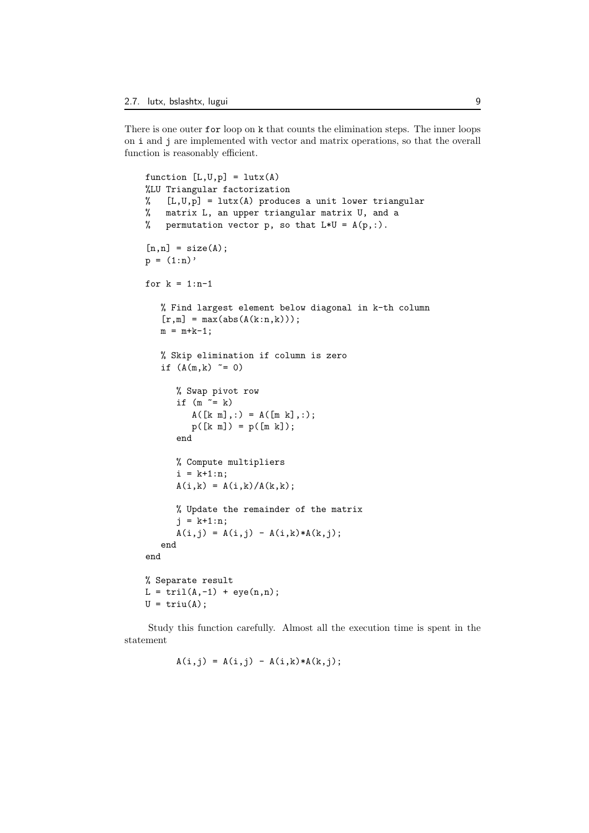There is one outer for loop on k that counts the elimination steps. The inner loops on i and j are implemented with vector and matrix operations, so that the overall function is reasonably efficient.

```
function [L, U, p] = \text{lutz}(A)%LU Triangular factorization
\lambda [L,U,p] = lutx(A) produces a unit lower triangular
% matrix L, an upper triangular matrix U, and a
% permutation vector p, so that L*U = A(p,:).
[n,n] = size(A);p = (1:n)'
for k = 1:n-1% Find largest element below diagonal in k-th column
   [r,m] = max(abs(A(k:n,k)));
   m = m+k-1;% Skip elimination if column is zero
   if (A(m,k) = 0)% Swap pivot row
      if (m \tilde{-} k)A([k \; m],:) = A([m \; k], :);p([k \; m]) = p([m \; k]);end
      % Compute multipliers
      i = k+1:n;A(i,k) = A(i,k)/A(k,k);% Update the remainder of the matrix
      j = k+1:n;A(i,j) = A(i,j) - A(i,k)*A(k,j);end
end
% Separate result
L = \text{tril}(A, -1) + \text{eye}(n, n);U = \text{triu}(A);
```
Study this function carefully. Almost all the execution time is spent in the statement

$$
A(i,j) = A(i,j) - A(i,k)*A(k,j);
$$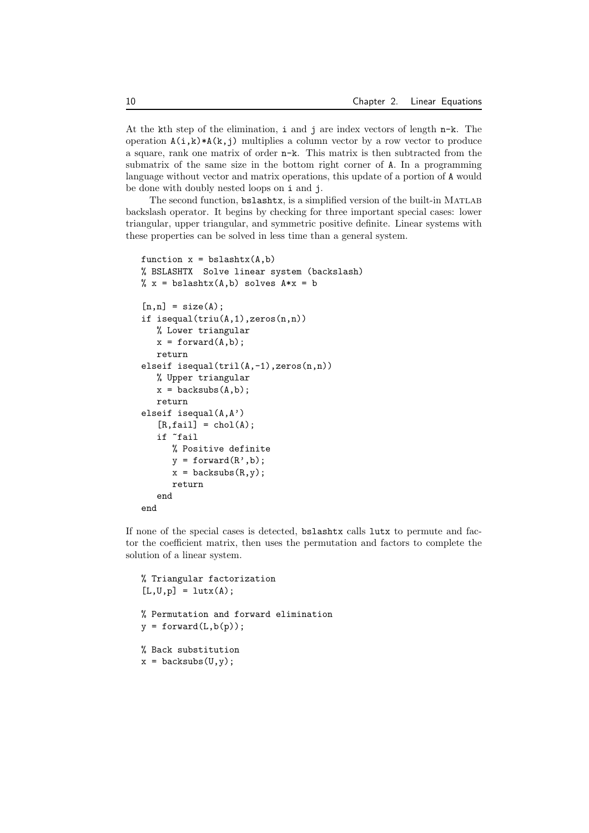At the kth step of the elimination, i and j are index vectors of length n-k. The operation  $A(i,k) * A(k,j)$  multiplies a column vector by a row vector to produce a square, rank one matrix of order n-k. This matrix is then subtracted from the submatrix of the same size in the bottom right corner of A. In a programming language without vector and matrix operations, this update of a portion of A would be done with doubly nested loops on i and j.

The second function, bslashtx, is a simplified version of the built-in MATLAB backslash operator. It begins by checking for three important special cases: lower triangular, upper triangular, and symmetric positive definite. Linear systems with these properties can be solved in less time than a general system.

```
function x = bslashtx(A, b)% BSLASHTX Solve linear system (backslash)
% x = bslashtx(A, b) solves A * x = b[n,n] = size(A);if isequal(triu(A,1),zeros(n,n))
  % Lower triangular
   x = forward(A,b);return
elseif isequal(tril(A,-1),zeros(n,n))
   % Upper triangular
   x =backsubs(A, b);
   return
elseif isequal(A,A')
   [R, fail] = chol(A);if ~fail
      % Positive definite
      y = forward(R', b);
      x = backsubs(R, y);
      return
   end
end
```
If none of the special cases is detected, bslashtx calls lutx to permute and factor the coefficient matrix, then uses the permutation and factors to complete the solution of a linear system.

```
% Triangular factorization
[L,U,p] = \text{lutz}(A);% Permutation and forward elimination
y = forward(L,b(p));% Back substitution
x = backsubs(U, y);
```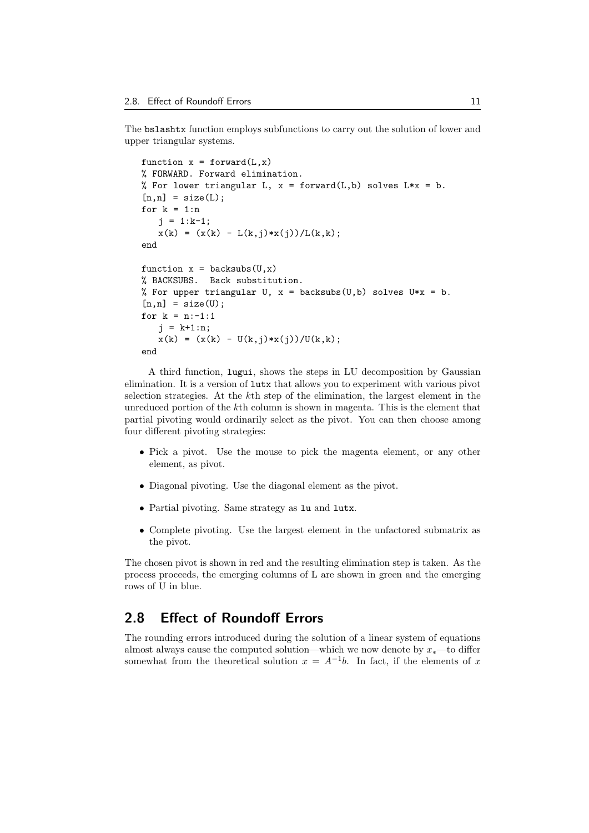The bslashtx function employs subfunctions to carry out the solution of lower and upper triangular systems.

```
function x = forward(L, x)% FORWARD. Forward elimination.
% For lower triangular L, x = forward(L, b) solves L*x = b.
[n,n] = size(L):
for k = 1:nj = 1:k-1;x(k) = (x(k) - L(k, j) * x(j)) / L(k, k);end
function x = backsubs (U, x)% BACKSUBS. Back substitution.
% For upper triangular U, x = backsubs(U,b) solves U*x = b.
[n,n] = size(U);for k = n:-1:1j = k+1:n;x(k) = (x(k) - U(k,j) * x(j)) / U(k,k);end
```
A third function, lugui, shows the steps in LU decomposition by Gaussian elimination. It is a version of lutx that allows you to experiment with various pivot selection strategies. At the *k*th step of the elimination, the largest element in the unreduced portion of the *k*th column is shown in magenta. This is the element that partial pivoting would ordinarily select as the pivot. You can then choose among four different pivoting strategies:

- Pick a pivot. Use the mouse to pick the magenta element, or any other element, as pivot.
- Diagonal pivoting. Use the diagonal element as the pivot.
- Partial pivoting. Same strategy as lu and lutx.
- *•* Complete pivoting. Use the largest element in the unfactored submatrix as the pivot.

The chosen pivot is shown in red and the resulting elimination step is taken. As the process proceeds, the emerging columns of L are shown in green and the emerging rows of U in blue.

## **2.8 Effect of Roundoff Errors**

The rounding errors introduced during the solution of a linear system of equations almost always cause the computed solution—which we now denote by *x∗*—to differ somewhat from the theoretical solution  $x = A^{-1}b$ . In fact, if the elements of x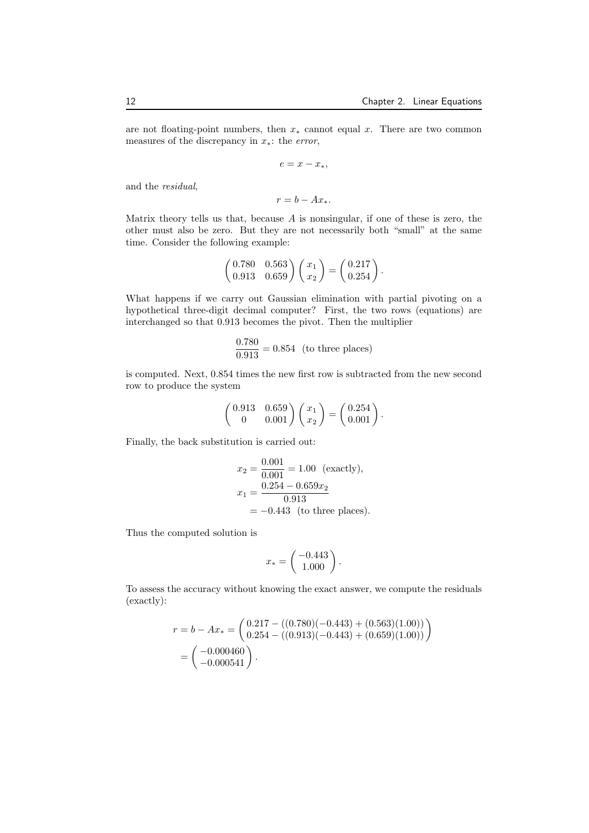are not floating-point numbers, then *x<sup>∗</sup>* cannot equal *x*. There are two common measures of the discrepancy in *x∗*: the *error*,

$$
e=x-x_*,
$$

and the *residual*,

$$
r = b - Ax_*.
$$

Matrix theory tells us that, because *A* is nonsingular, if one of these is zero, the other must also be zero. But they are not necessarily both "small" at the same time. Consider the following example:

$$
\begin{pmatrix} 0.780 & 0.563 \\ 0.913 & 0.659 \end{pmatrix} \begin{pmatrix} x_1 \\ x_2 \end{pmatrix} = \begin{pmatrix} 0.217 \\ 0.254 \end{pmatrix}.
$$

What happens if we carry out Gaussian elimination with partial pivoting on a hypothetical three-digit decimal computer? First, the two rows (equations) are interchanged so that 0.913 becomes the pivot. Then the multiplier

$$
\frac{0.780}{0.913} = 0.854
$$
 (to three places)

is computed. Next, 0.854 times the new first row is subtracted from the new second row to produce the system

$$
\begin{pmatrix} 0.913 & 0.659 \\ 0 & 0.001 \end{pmatrix} \begin{pmatrix} x_1 \\ x_2 \end{pmatrix} = \begin{pmatrix} 0.254 \\ 0.001 \end{pmatrix}.
$$

Finally, the back substitution is carried out:

$$
x_2 = \frac{0.001}{0.001} = 1.00
$$
 (exactly),  
\n
$$
x_1 = \frac{0.254 - 0.659x_2}{0.913}
$$
  
\n= -0.443 (to three places).

Thus the computed solution is

$$
x_* = \left(\begin{array}{c} -0.443\\ 1.000 \end{array}\right).
$$

To assess the accuracy without knowing the exact answer, we compute the residuals (exactly):

$$
r = b - Ax_* = \begin{pmatrix} 0.217 - ((0.780)(-0.443) + (0.563)(1.00)) \\ 0.254 - ((0.913)(-0.443) + (0.659)(1.00)) \end{pmatrix}
$$

$$
= \begin{pmatrix} -0.000460 \\ -0.000541 \end{pmatrix}.
$$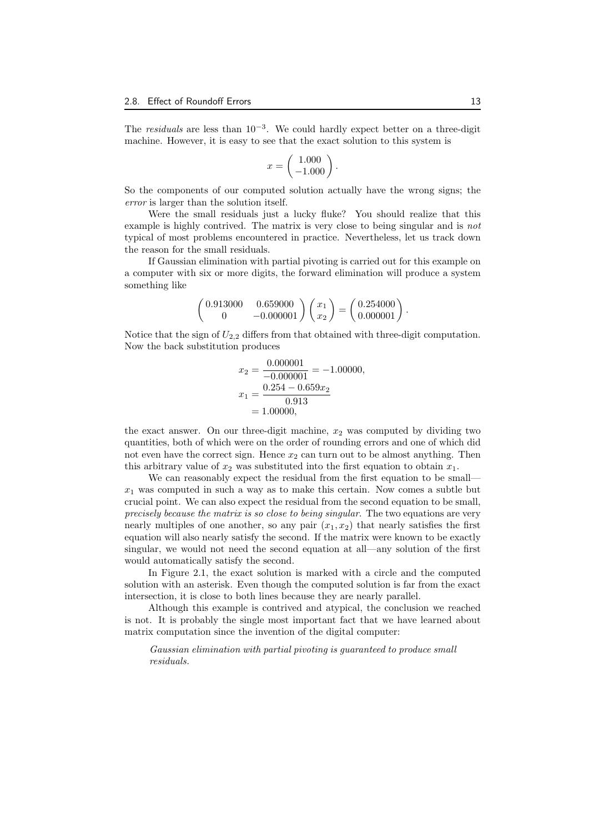The *residuals* are less than 10*−*<sup>3</sup> . We could hardly expect better on a three-digit machine. However, it is easy to see that the exact solution to this system is

$$
x = \begin{pmatrix} 1.000 \\ -1.000 \end{pmatrix}.
$$

So the components of our computed solution actually have the wrong signs; the *error* is larger than the solution itself.

Were the small residuals just a lucky fluke? You should realize that this example is highly contrived. The matrix is very close to being singular and is *not* typical of most problems encountered in practice. Nevertheless, let us track down the reason for the small residuals.

If Gaussian elimination with partial pivoting is carried out for this example on a computer with six or more digits, the forward elimination will produce a system something like

$$
\begin{pmatrix} 0.913000 & 0.659000 \\ 0 & -0.000001 \end{pmatrix} \begin{pmatrix} x_1 \\ x_2 \end{pmatrix} = \begin{pmatrix} 0.254000 \\ 0.000001 \end{pmatrix}.
$$

Notice that the sign of  $U_{2,2}$  differs from that obtained with three-digit computation. Now the back substitution produces

$$
x_2 = \frac{0.000001}{-0.000001} = -1.00000,
$$
  
\n
$$
x_1 = \frac{0.254 - 0.659x_2}{0.913}
$$
  
\n= 1.00000,

the exact answer. On our three-digit machine, *x*<sup>2</sup> was computed by dividing two quantities, both of which were on the order of rounding errors and one of which did not even have the correct sign. Hence  $x_2$  can turn out to be almost anything. Then this arbitrary value of  $x_2$  was substituted into the first equation to obtain  $x_1$ .

We can reasonably expect the residual from the first equation to be small  $x_1$  was computed in such a way as to make this certain. Now comes a subtle but crucial point. We can also expect the residual from the second equation to be small, *precisely because the matrix is so close to being singular*. The two equations are very nearly multiples of one another, so any pair  $(x_1, x_2)$  that nearly satisfies the first equation will also nearly satisfy the second. If the matrix were known to be exactly singular, we would not need the second equation at all—any solution of the first would automatically satisfy the second.

In Figure 2.1, the exact solution is marked with a circle and the computed solution with an asterisk. Even though the computed solution is far from the exact intersection, it is close to both lines because they are nearly parallel.

Although this example is contrived and atypical, the conclusion we reached is not. It is probably the single most important fact that we have learned about matrix computation since the invention of the digital computer:

*Gaussian elimination with partial pivoting is guaranteed to produce small residuals.*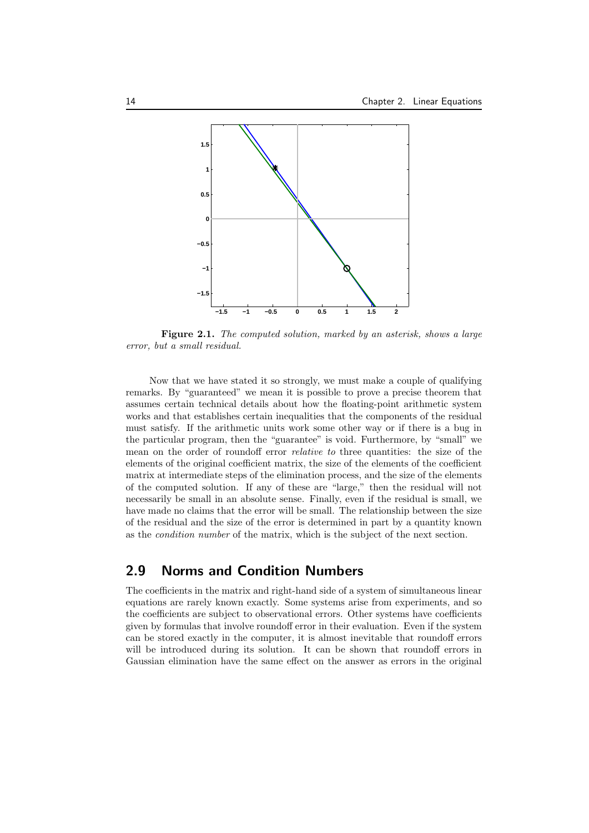

**Figure 2.1.** *The computed solution, marked by an asterisk, shows a large error, but a small residual.*

Now that we have stated it so strongly, we must make a couple of qualifying remarks. By "guaranteed" we mean it is possible to prove a precise theorem that assumes certain technical details about how the floating-point arithmetic system works and that establishes certain inequalities that the components of the residual must satisfy. If the arithmetic units work some other way or if there is a bug in the particular program, then the "guarantee" is void. Furthermore, by "small" we mean on the order of roundoff error *relative to* three quantities: the size of the elements of the original coefficient matrix, the size of the elements of the coefficient matrix at intermediate steps of the elimination process, and the size of the elements of the computed solution. If any of these are "large," then the residual will not necessarily be small in an absolute sense. Finally, even if the residual is small, we have made no claims that the error will be small. The relationship between the size of the residual and the size of the error is determined in part by a quantity known as the *condition number* of the matrix, which is the subject of the next section.

## **2.9 Norms and Condition Numbers**

The coefficients in the matrix and right-hand side of a system of simultaneous linear equations are rarely known exactly. Some systems arise from experiments, and so the coefficients are subject to observational errors. Other systems have coefficients given by formulas that involve roundoff error in their evaluation. Even if the system can be stored exactly in the computer, it is almost inevitable that roundoff errors will be introduced during its solution. It can be shown that roundoff errors in Gaussian elimination have the same effect on the answer as errors in the original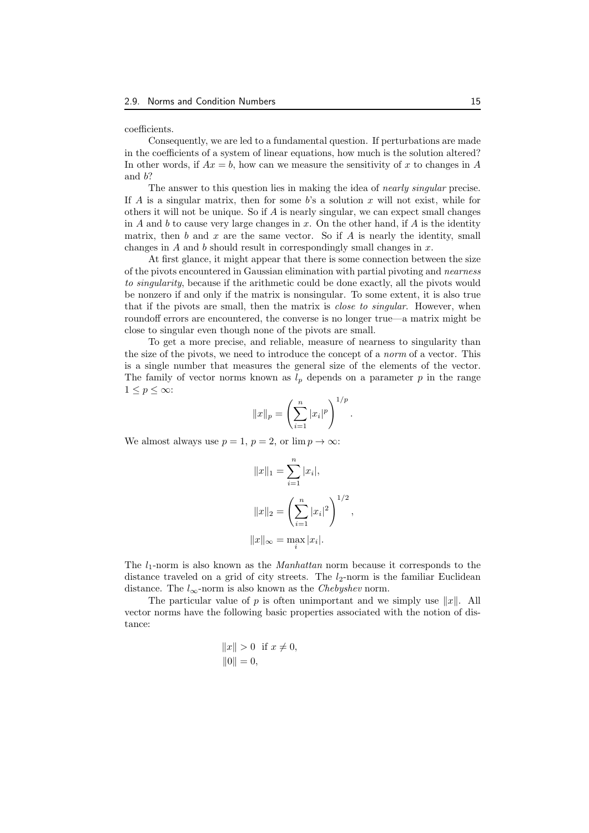coefficients.

Consequently, we are led to a fundamental question. If perturbations are made in the coefficients of a system of linear equations, how much is the solution altered? In other words, if  $Ax = b$ , how can we measure the sensitivity of x to changes in A and *b*?

The answer to this question lies in making the idea of *nearly singular* precise. If *A* is a singular matrix, then for some *b*'s a solution *x* will not exist, while for others it will not be unique. So if *A* is nearly singular, we can expect small changes in *A* and *b* to cause very large changes in *x*. On the other hand, if *A* is the identity matrix, then *b* and *x* are the same vector. So if *A* is nearly the identity, small changes in *A* and *b* should result in correspondingly small changes in *x*.

At first glance, it might appear that there is some connection between the size of the pivots encountered in Gaussian elimination with partial pivoting and *nearness to singularity*, because if the arithmetic could be done exactly, all the pivots would be nonzero if and only if the matrix is nonsingular. To some extent, it is also true that if the pivots are small, then the matrix is *close to singular*. However, when roundoff errors are encountered, the converse is no longer true—a matrix might be close to singular even though none of the pivots are small.

To get a more precise, and reliable, measure of nearness to singularity than the size of the pivots, we need to introduce the concept of a *norm* of a vector. This is a single number that measures the general size of the elements of the vector. The family of vector norms known as  $l_p$  depends on a parameter  $p$  in the range 1 *≤ p ≤ ∞*:

$$
||x||_p = \left(\sum_{i=1}^n |x_i|^p\right)^{1/p}.
$$

We almost always use  $p = 1$ ,  $p = 2$ , or  $\lim p \to \infty$ :

$$
||x||_1 = \sum_{i=1}^n |x_i|,
$$
  

$$
||x||_2 = \left(\sum_{i=1}^n |x_i|^2\right)^{1/2}
$$
  

$$
||x||_{\infty} = \max_i |x_i|.
$$

*,*

The *l*1-norm is also known as the *Manhattan* norm because it corresponds to the distance traveled on a grid of city streets. The *l*<sub>2</sub>-norm is the familiar Euclidean distance. The  $l_{\infty}$ -norm is also known as the *Chebyshev* norm.

The particular value of *p* is often unimportant and we simply use *∥x∥*. All vector norms have the following basic properties associated with the notion of distance:

$$
||x|| > 0
$$
 if  $x \neq 0$ ,  
 $||0|| = 0$ ,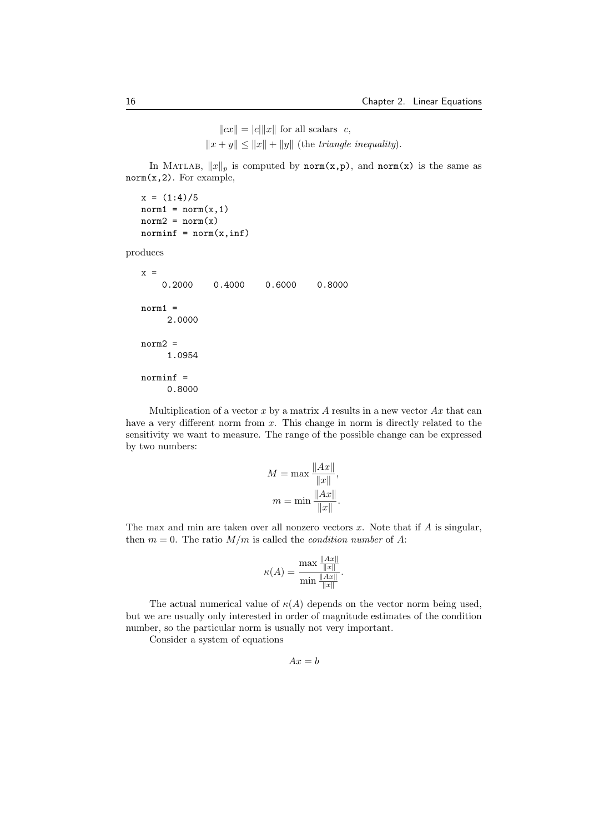$||cx|| = |c| ||x||$  for all scalars *c*,  $||x + y|| \le ||x|| + ||y||$  (the *triangle inequality*).

In MATLAB,  $||x||_p$  is computed by **norm** $(x, p)$ , and **norm** $(x)$  is the same as norm(x,2). For example,

```
x = (1:4)/5norm1 = norm(x, 1)norm2 = norm(x)normalf = norm(x, inf)
```
produces

```
x =0.2000 0.4000 0.6000 0.8000
norm1 =
    2.0000
norm2 =
    1.0954
norminf =
    0.8000
```
Multiplication of a vector *x* by a matrix *A* results in a new vector *Ax* that can have a very different norm from *x*. This change in norm is directly related to the sensitivity we want to measure. The range of the possible change can be expressed by two numbers:

$$
M = \max \frac{\|Ax\|}{\|x\|},
$$

$$
m = \min \frac{\|Ax\|}{\|x\|}.
$$

The max and min are taken over all nonzero vectors *x*. Note that if *A* is singular, then  $m = 0$ . The ratio  $M/m$  is called the *condition number* of A:

$$
\kappa(A) = \frac{\max \frac{\|Ax\|}{\|x\|}}{\min \frac{\|Ax\|}{\|x\|}}.
$$

The actual numerical value of  $\kappa(A)$  depends on the vector norm being used, but we are usually only interested in order of magnitude estimates of the condition number, so the particular norm is usually not very important.

Consider a system of equations

$$
Ax = b
$$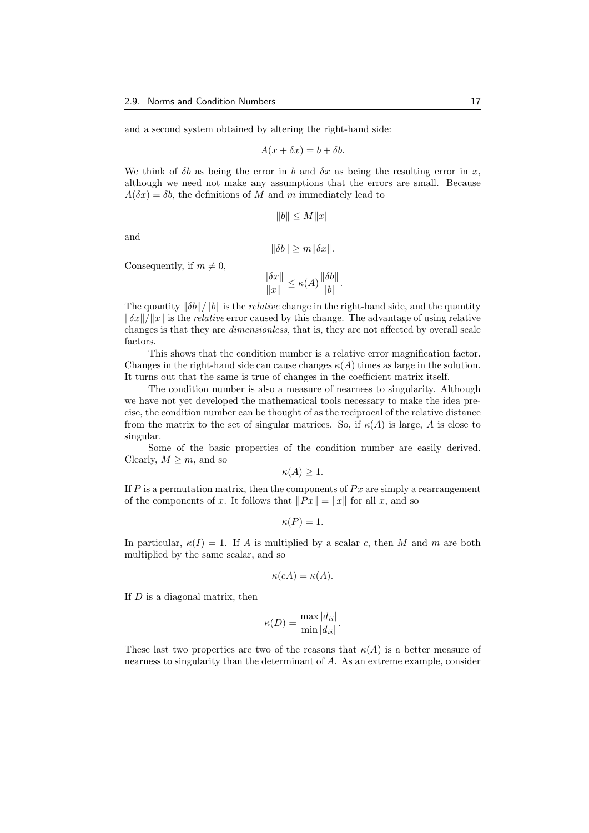and a second system obtained by altering the right-hand side:

$$
A(x + \delta x) = b + \delta b.
$$

We think of  $\delta b$  as being the error in *b* and  $\delta x$  as being the resulting error in *x*, although we need not make any assumptions that the errors are small. Because  $A(\delta x) = \delta b$ , the definitions of *M* and *m* immediately lead to

$$
||b|| \le M ||x||
$$

and

$$
\|\delta b\| \ge m \|\delta x\|.
$$

Consequently, if  $m \neq 0$ ,

$$
\frac{\|\delta x\|}{\|x\|} \le \kappa(A) \frac{\|\delta b\|}{\|b\|}.
$$

The quantity *∥δb∥/∥b∥* is the *relative* change in the right-hand side, and the quantity *∥δx∥/∥x∥* is the *relative* error caused by this change. The advantage of using relative changes is that they are *dimensionless*, that is, they are not affected by overall scale factors.

This shows that the condition number is a relative error magnification factor. Changes in the right-hand side can cause changes  $\kappa(A)$  times as large in the solution. It turns out that the same is true of changes in the coefficient matrix itself.

The condition number is also a measure of nearness to singularity. Although we have not yet developed the mathematical tools necessary to make the idea precise, the condition number can be thought of as the reciprocal of the relative distance from the matrix to the set of singular matrices. So, if  $\kappa(A)$  is large, A is close to singular.

Some of the basic properties of the condition number are easily derived. Clearly,  $M \geq m$ , and so

 $\kappa(A) \geq 1$ .

If  $P$  is a permutation matrix, then the components of  $Px$  are simply a rearrangement of the components of *x*. It follows that  $||Px|| = ||x||$  for all *x*, and so

$$
\kappa(P)=1.
$$

In particular,  $\kappa(I) = 1$ . If *A* is multiplied by a scalar *c*, then *M* and *m* are both multiplied by the same scalar, and so

$$
\kappa(cA) = \kappa(A).
$$

If *D* is a diagonal matrix, then

$$
\kappa(D) = \frac{\max |d_{ii}|}{\min |d_{ii}|}.
$$

These last two properties are two of the reasons that  $\kappa(A)$  is a better measure of nearness to singularity than the determinant of *A*. As an extreme example, consider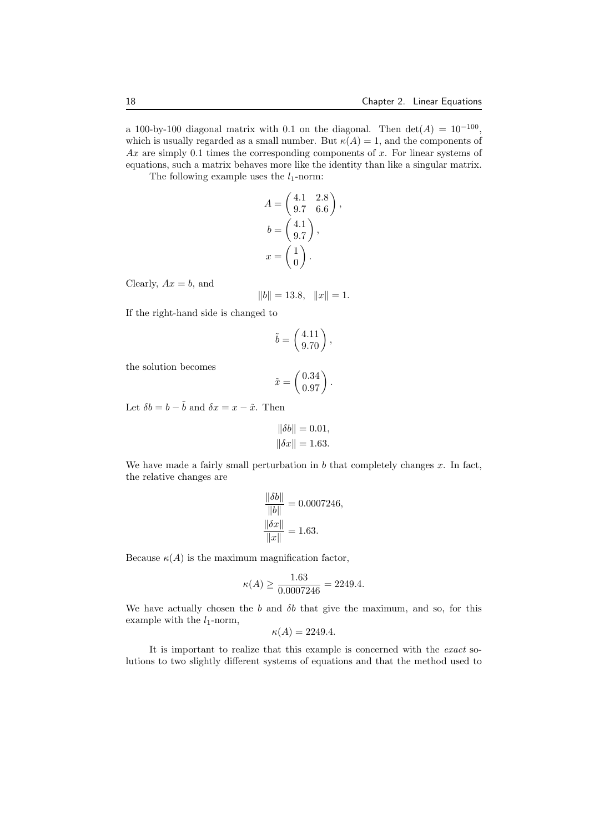a 100-by-100 diagonal matrix with 0.1 on the diagonal. Then  $det(A) = 10^{-100}$ , which is usually regarded as a small number. But  $\kappa(A) = 1$ , and the components of *Ax* are simply 0.1 times the corresponding components of *x*. For linear systems of equations, such a matrix behaves more like the identity than like a singular matrix.

The following example uses the  $l_1$ -norm:

$$
A = \begin{pmatrix} 4.1 & 2.8 \\ 9.7 & 6.6 \end{pmatrix},
$$
\n
$$
b = \begin{pmatrix} 4.1 \\ 9.7 \end{pmatrix},
$$
\n
$$
x = \begin{pmatrix} 1 \\ 0 \end{pmatrix}.
$$

Clearly,  $Ax = b$ , and

$$
||b|| = 13.8, \quad ||x|| = 1.
$$

If the right-hand side is changed to

$$
\tilde{b} = \begin{pmatrix} 4.11 \\ 9.70 \end{pmatrix},
$$

the solution becomes

$$
\tilde{x} = \begin{pmatrix} 0.34 \\ 0.97 \end{pmatrix}.
$$

Let  $\delta b = b - \tilde{b}$  and  $\delta x = x - \tilde{x}$ . Then

$$
\|\delta b\| = 0.01, \|\delta x\| = 1.63.
$$

We have made a fairly small perturbation in  $b$  that completely changes  $x$ . In fact, the relative changes are

$$
\frac{\|\delta b\|}{\|b\|} = 0.0007246,
$$
  

$$
\frac{\|\delta x\|}{\|x\|} = 1.63.
$$

Because  $\kappa(A)$  is the maximum magnification factor,

$$
\kappa(A) \ge \frac{1.63}{0.0007246} = 2249.4.
$$

We have actually chosen the *b* and *δb* that give the maximum, and so, for this example with the  $l_1$ -norm,

$$
\kappa(A) = 2249.4.
$$

It is important to realize that this example is concerned with the *exact* solutions to two slightly different systems of equations and that the method used to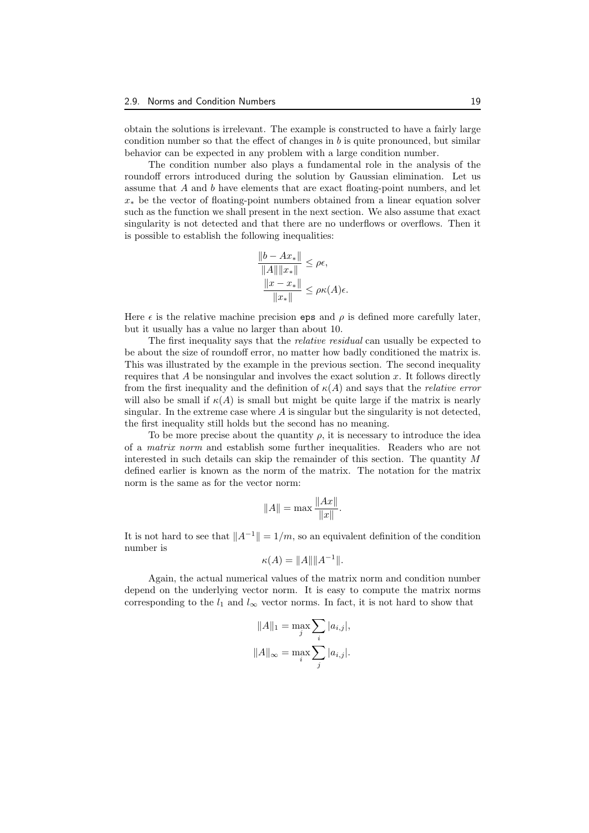obtain the solutions is irrelevant. The example is constructed to have a fairly large condition number so that the effect of changes in *b* is quite pronounced, but similar behavior can be expected in any problem with a large condition number.

The condition number also plays a fundamental role in the analysis of the roundoff errors introduced during the solution by Gaussian elimination. Let us assume that *A* and *b* have elements that are exact floating-point numbers, and let *x<sup>∗</sup>* be the vector of floating-point numbers obtained from a linear equation solver such as the function we shall present in the next section. We also assume that exact singularity is not detected and that there are no underflows or overflows. Then it is possible to establish the following inequalities:

$$
\frac{\|b - Ax_*\|}{\|A\| \|x_*\|} \le \rho \epsilon,
$$
  

$$
\frac{\|x - x_*\|}{\|x_*\|} \le \rho \kappa(A)\epsilon.
$$

Here  $\epsilon$  is the relative machine precision eps and  $\rho$  is defined more carefully later, but it usually has a value no larger than about 10.

The first inequality says that the *relative residual* can usually be expected to be about the size of roundoff error, no matter how badly conditioned the matrix is. This was illustrated by the example in the previous section. The second inequality requires that *A* be nonsingular and involves the exact solution *x*. It follows directly from the first inequality and the definition of *κ*(*A*) and says that the *relative error* will also be small if  $\kappa(A)$  is small but might be quite large if the matrix is nearly singular. In the extreme case where *A* is singular but the singularity is not detected, the first inequality still holds but the second has no meaning.

To be more precise about the quantity  $\rho$ , it is necessary to introduce the idea of a *matrix norm* and establish some further inequalities. Readers who are not interested in such details can skip the remainder of this section. The quantity *M* defined earlier is known as the norm of the matrix. The notation for the matrix norm is the same as for the vector norm:

$$
||A|| = \max \frac{||Ax||}{||x||}.
$$

It is not hard to see that  $||A^{-1}|| = 1/m$ , so an equivalent definition of the condition number is

$$
\kappa(A) = ||A|| ||A^{-1}||.
$$

Again, the actual numerical values of the matrix norm and condition number depend on the underlying vector norm. It is easy to compute the matrix norms corresponding to the  $l_1$  and  $l_\infty$  vector norms. In fact, it is not hard to show that

$$
||A||_1 = \max_j \sum_i |a_{i,j}|,
$$
  

$$
||A||_{\infty} = \max_i \sum_j |a_{i,j}|.
$$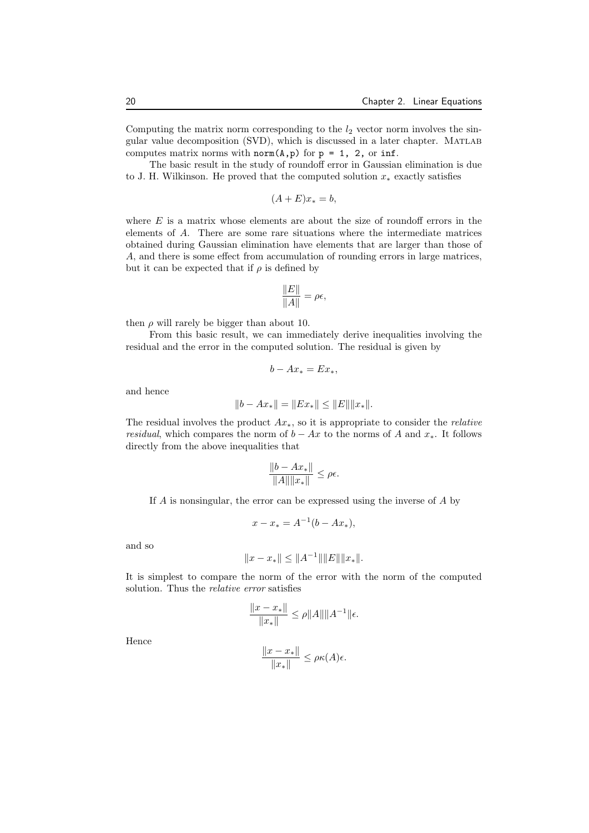Computing the matrix norm corresponding to the  $l_2$  vector norm involves the singular value decomposition (SVD), which is discussed in a later chapter. Matlab computes matrix norms with  $norm(A,p)$  for  $p = 1$ , 2, or inf.

The basic result in the study of roundoff error in Gaussian elimination is due to J. H. Wilkinson. He proved that the computed solution *x<sup>∗</sup>* exactly satisfies

$$
(A+E)x_* = b,
$$

where  $E$  is a matrix whose elements are about the size of roundoff errors in the elements of *A*. There are some rare situations where the intermediate matrices obtained during Gaussian elimination have elements that are larger than those of *A*, and there is some effect from accumulation of rounding errors in large matrices, but it can be expected that if  $\rho$  is defined by

$$
\frac{\|E\|}{\|A\|} = \rho \epsilon,
$$

then  $\rho$  will rarely be bigger than about 10.

From this basic result, we can immediately derive inequalities involving the residual and the error in the computed solution. The residual is given by

$$
b - Ax_* = Ex_*,
$$

and hence

$$
||b - Ax_*|| = ||Ex_*|| \le ||E|| ||x_*||.
$$

The residual involves the product *Ax∗*, so it is appropriate to consider the *relative residual*, which compares the norm of *b* − *Ax* to the norms of *A* and  $x_*$ . It follows directly from the above inequalities that

$$
\frac{\|b - Ax_*\|}{\|A\| \|x_*\|} \le \rho \epsilon.
$$

If *A* is nonsingular, the error can be expressed using the inverse of *A* by

$$
x - x_* = A^{-1}(b - Ax_*),
$$

and so

$$
||x - x_*|| \le ||A^{-1}|| ||E|| ||x_*||.
$$

It is simplest to compare the norm of the error with the norm of the computed solution. Thus the *relative error* satisfies

$$
\frac{\|x - x_*\|}{\|x_*\|} \le \rho \|A\| \|A^{-1}\| \epsilon.
$$

Hence

$$
\frac{\|x-x_*\|}{\|x_*\|} \le \rho \kappa(A) \epsilon.
$$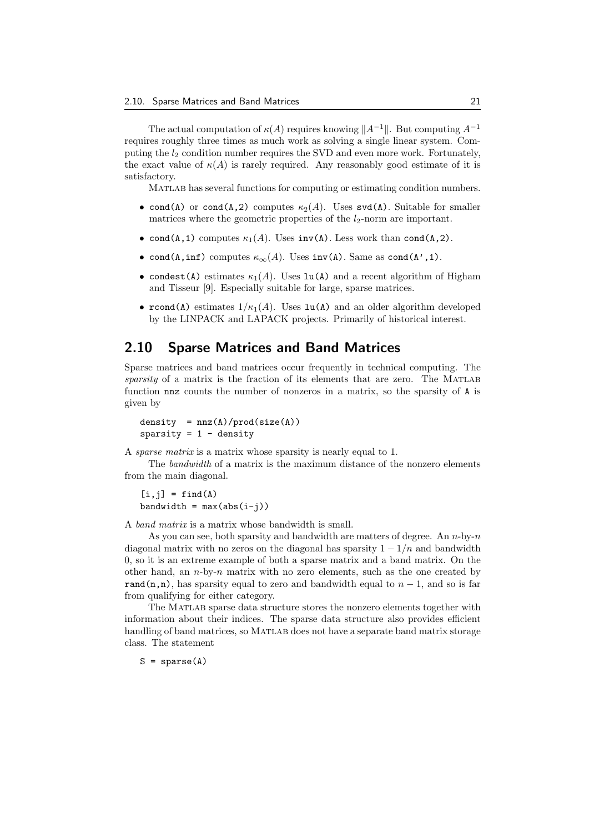The actual computation of  $\kappa(A)$  requires knowing  $||A^{-1}||$ . But computing  $A^{-1}$ requires roughly three times as much work as solving a single linear system. Computing the *l*<sup>2</sup> condition number requires the SVD and even more work. Fortunately, the exact value of  $\kappa(A)$  is rarely required. Any reasonably good estimate of it is satisfactory.

Matlab has several functions for computing or estimating condition numbers.

- cond(A) or cond(A,2) computes  $\kappa_2(A)$ . Uses svd(A). Suitable for smaller matrices where the geometric properties of the  $l_2$ -norm are important.
- cond(A, 1) computes  $\kappa_1(A)$ . Uses inv(A). Less work than cond(A, 2).
- cond(A,inf) computes  $\kappa_{\infty}(A)$ . Uses inv(A). Same as cond(A',1).
- condest(A) estimates  $\kappa_1(A)$ . Uses  $\text{lu}(A)$  and a recent algorithm of Higham and Tisseur [9]. Especially suitable for large, sparse matrices.
- rcond(A) estimates  $1/\kappa_1(A)$ . Uses  $\text{lu}(A)$  and an older algorithm developed by the LINPACK and LAPACK projects. Primarily of historical interest.

#### **2.10 Sparse Matrices and Band Matrices**

Sparse matrices and band matrices occur frequently in technical computing. The *sparsity* of a matrix is the fraction of its elements that are zero. The MATLAB function nnz counts the number of nonzeros in a matrix, so the sparsity of A is given by

```
density = nnz(A)/prod(size(A))sparsity = 1 - density
```
A *sparse matrix* is a matrix whose sparsity is nearly equal to 1.

The *bandwidth* of a matrix is the maximum distance of the nonzero elements from the main diagonal.

 $[i,j] = find(A)$ bandwidth =  $max(abs(i-j))$ 

A *band matrix* is a matrix whose bandwidth is small.

As you can see, both sparsity and bandwidth are matters of degree. An *n*-by-*n* diagonal matrix with no zeros on the diagonal has sparsity 1 *−* 1*/n* and bandwidth 0, so it is an extreme example of both a sparse matrix and a band matrix. On the other hand, an *n*-by-*n* matrix with no zero elements, such as the one created by rand(n,n), has sparsity equal to zero and bandwidth equal to  $n-1$ , and so is far from qualifying for either category.

The Matlab sparse data structure stores the nonzero elements together with information about their indices. The sparse data structure also provides efficient handling of band matrices, so MATLAB does not have a separate band matrix storage class. The statement

 $S = sparse(A)$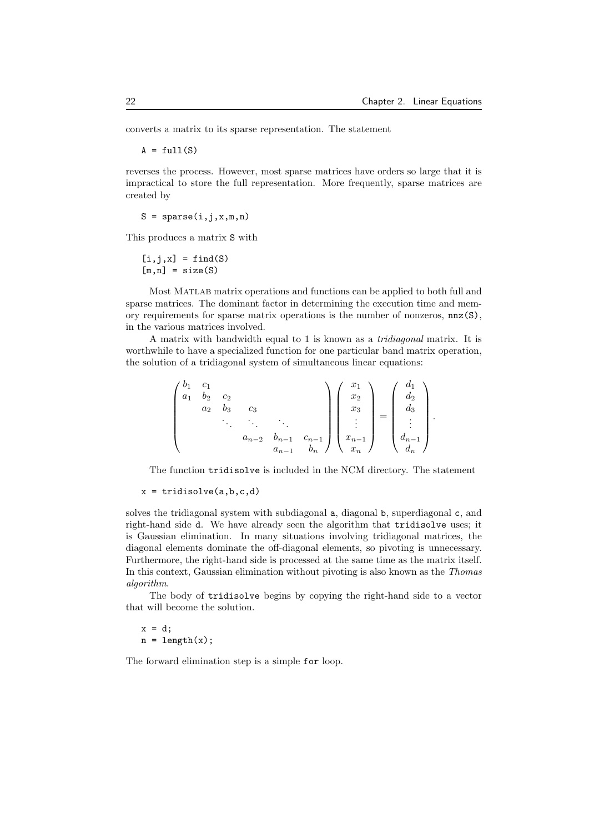*.*

converts a matrix to its sparse representation. The statement

 $A = full(S)$ 

reverses the process. However, most sparse matrices have orders so large that it is impractical to store the full representation. More frequently, sparse matrices are created by

 $S = sparse(i,j,x,m,n)$ 

This produces a matrix S with

 $[i,j,x] = find(S)$  $[m,n] = size(S)$ 

Most Matlab matrix operations and functions can be applied to both full and sparse matrices. The dominant factor in determining the execution time and memory requirements for sparse matrix operations is the number of nonzeros,  $nnz(S)$ , in the various matrices involved.

A matrix with bandwidth equal to 1 is known as a *tridiagonal* matrix. It is worthwhile to have a specialized function for one particular band matrix operation, the solution of a tridiagonal system of simultaneous linear equations:

$$
\begin{pmatrix}\nb_1 & c_1 & & & & & & \\
a_1 & b_2 & c_2 & & & & & \\
& a_2 & b_3 & c_3 & & & \\
& & \ddots & \ddots & \ddots & & \\
& & & a_{n-2} & b_{n-1} & c_{n-1} \\
& & & & & a_{n-1} & b_n\n\end{pmatrix}\n\begin{pmatrix}\nx_1 \\
x_2 \\
x_3 \\
\vdots \\
x_{n-1} \\
x_n\n\end{pmatrix} = \begin{pmatrix}\nd_1 \\
d_2 \\
d_3 \\
\vdots \\
d_{n-1} \\
d_n\n\end{pmatrix}
$$

The function tridisolve is included in the NCM directory. The statement

```
x = \text{tridisolve}(a, b, c, d)
```
solves the tridiagonal system with subdiagonal a, diagonal b, superdiagonal c, and right-hand side d. We have already seen the algorithm that tridisolve uses; it is Gaussian elimination. In many situations involving tridiagonal matrices, the diagonal elements dominate the off-diagonal elements, so pivoting is unnecessary. Furthermore, the right-hand side is processed at the same time as the matrix itself. In this context, Gaussian elimination without pivoting is also known as the *Thomas algorithm*.

The body of tridisolve begins by copying the right-hand side to a vector that will become the solution.

 $x = d;$  $n = length(x);$ 

The forward elimination step is a simple for loop.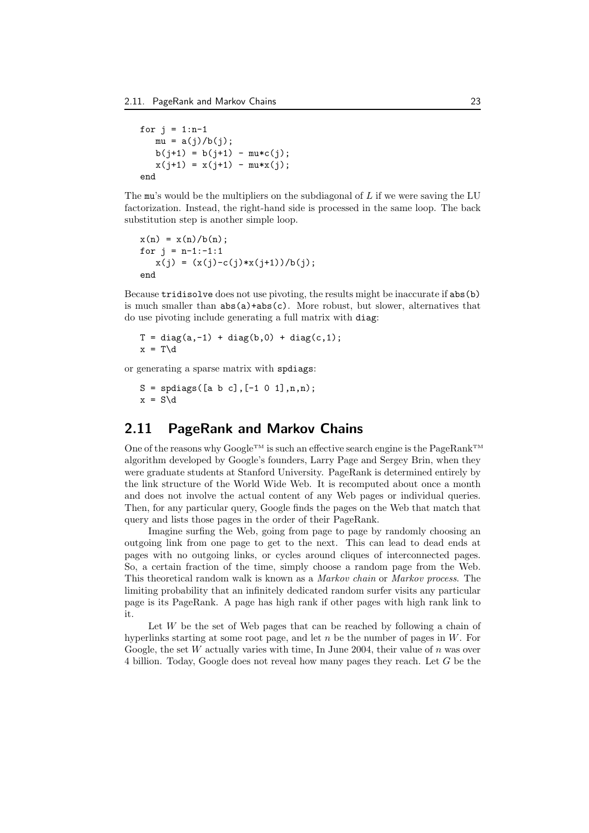```
for j = 1:n-1mu = a(j)/b(j);b(j+1) = b(j+1) - mu*c(j);x(j+1) = x(j+1) - \text{mu} * x(j);end
```
The mu's would be the multipliers on the subdiagonal of *L* if we were saving the LU factorization. Instead, the right-hand side is processed in the same loop. The back substitution step is another simple loop.

```
x(n) = x(n)/b(n);
for j = n-1:-1:1x(j) = (x(j)-c(j)*x(j+1))/b(j);end
```
Because tridisolve does not use pivoting, the results might be inaccurate if abs(b) is much smaller than abs(a)+abs(c). More robust, but slower, alternatives that do use pivoting include generating a full matrix with diag:

$$
T = diag(a, -1) + diag(b, 0) + diag(c, 1);
$$
  

$$
x = T\{d
$$

or generating a sparse matrix with spdiags:

 $S =$  spdiags( $[a \ b \ c]$ , $[-1 \ 0 \ 1]$ ,n,n);  $x = S\ddot{d}$ 

#### **2.11 PageRank and Markov Chains**

One of the reasons why Google<sup>TM</sup> is such an effective search engine is the PageRank<sup>TM</sup> algorithm developed by Google's founders, Larry Page and Sergey Brin, when they were graduate students at Stanford University. PageRank is determined entirely by the link structure of the World Wide Web. It is recomputed about once a month and does not involve the actual content of any Web pages or individual queries. Then, for any particular query, Google finds the pages on the Web that match that query and lists those pages in the order of their PageRank.

Imagine surfing the Web, going from page to page by randomly choosing an outgoing link from one page to get to the next. This can lead to dead ends at pages with no outgoing links, or cycles around cliques of interconnected pages. So, a certain fraction of the time, simply choose a random page from the Web. This theoretical random walk is known as a *Markov chain* or *Markov process*. The limiting probability that an infinitely dedicated random surfer visits any particular page is its PageRank. A page has high rank if other pages with high rank link to it.

Let *W* be the set of Web pages that can be reached by following a chain of hyperlinks starting at some root page, and let *n* be the number of pages in *W*. For Google, the set *W* actually varies with time, In June 2004, their value of *n* was over 4 billion. Today, Google does not reveal how many pages they reach. Let *G* be the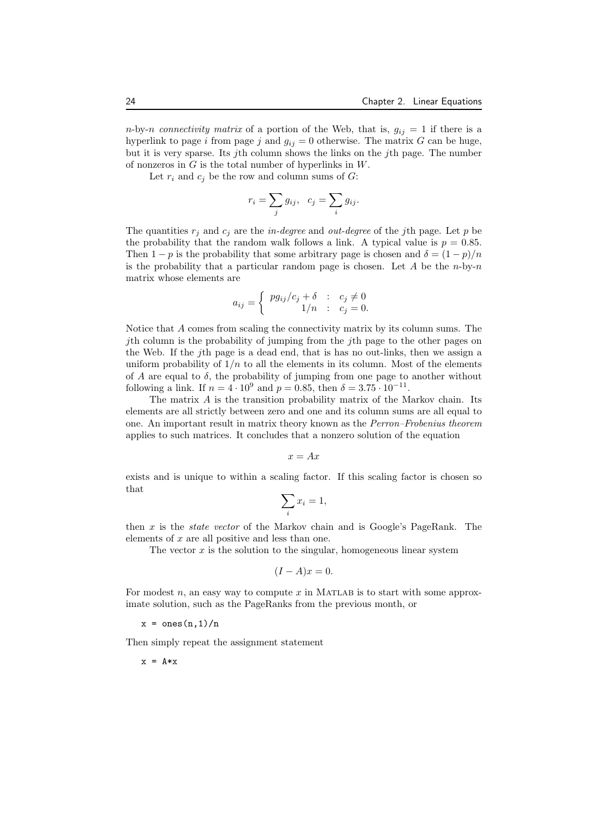*n*-by-*n* connectivity matrix of a portion of the Web, that is,  $g_{ij} = 1$  if there is a hyperlink to page *i* from page *j* and  $g_{ij} = 0$  otherwise. The matrix *G* can be huge, but it is very sparse. Its *j*th column shows the links on the *j*th page. The number of nonzeros in *G* is the total number of hyperlinks in *W*.

Let  $r_i$  and  $c_j$  be the row and column sums of  $G$ :

$$
r_i = \sum_j g_{ij}, \quad c_j = \sum_i g_{ij}.
$$

The quantities  $r_j$  and  $c_j$  are the *in-degree* and *out-degree* of the *j*th page. Let *p* be the probability that the random walk follows a link. A typical value is  $p = 0.85$ . Then  $1 - p$  is the probability that some arbitrary page is chosen and  $\delta = (1 - p)/n$ is the probability that a particular random page is chosen. Let *A* be the *n*-by-*n* matrix whose elements are

$$
a_{ij} = \begin{cases} pg_{ij}/c_j + \delta & : c_j \neq 0 \\ 1/n & : c_j = 0. \end{cases}
$$

Notice that *A* comes from scaling the connectivity matrix by its column sums. The *j*th column is the probability of jumping from the *j*th page to the other pages on the Web. If the *j*th page is a dead end, that is has no out-links, then we assign a uniform probability of  $1/n$  to all the elements in its column. Most of the elements of *A* are equal to  $\delta$ , the probability of jumping from one page to another without following a link. If  $n = 4 \cdot 10^9$  and  $p = 0.85$ , then  $\delta = 3.75 \cdot 10^{-11}$ .

The matrix *A* is the transition probability matrix of the Markov chain. Its elements are all strictly between zero and one and its column sums are all equal to one. An important result in matrix theory known as the *Perron–Frobenius theorem* applies to such matrices. It concludes that a nonzero solution of the equation

$$
x = Ax
$$

exists and is unique to within a scaling factor. If this scaling factor is chosen so that

$$
\sum_{i} x_i = 1,
$$

then *x* is the *state vector* of the Markov chain and is Google's PageRank. The elements of *x* are all positive and less than one.

The vector  $x$  is the solution to the singular, homogeneous linear system

$$
(I - A)x = 0.
$$

For modest  $n$ , an easy way to compute  $x$  in MATLAB is to start with some approximate solution, such as the PageRanks from the previous month, or

 $x = \text{ones}(n,1)/n$ 

Then simply repeat the assignment statement

 $x = A \cdot x$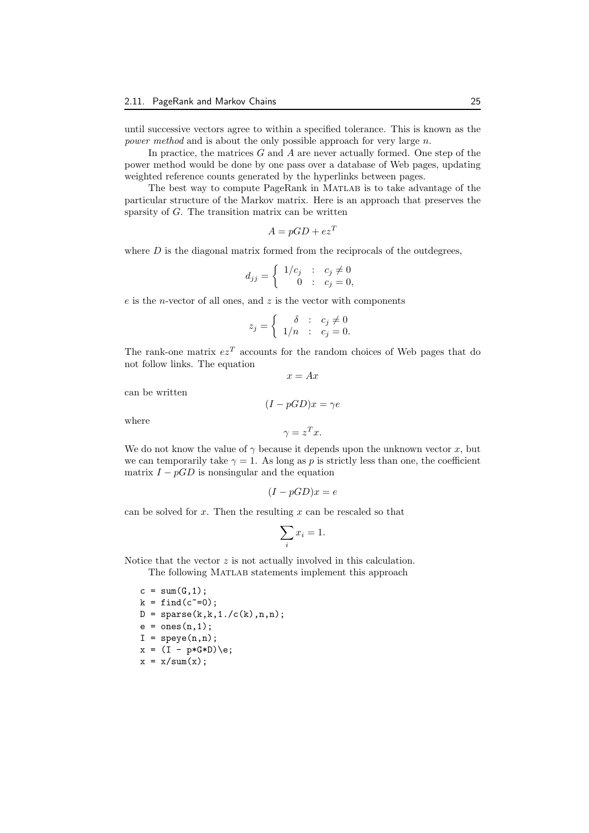until successive vectors agree to within a specified tolerance. This is known as the *power method* and is about the only possible approach for very large *n*.

In practice, the matrices *G* and *A* are never actually formed. One step of the power method would be done by one pass over a database of Web pages, updating weighted reference counts generated by the hyperlinks between pages.

The best way to compute PageRank in MATLAB is to take advantage of the particular structure of the Markov matrix. Here is an approach that preserves the sparsity of *G*. The transition matrix can be written

$$
A = pGD + ez^T
$$

where  $D$  is the diagonal matrix formed from the reciprocals of the outdegrees,

$$
d_{jj} = \begin{cases} 1/c_j & : & c_j \neq 0 \\ 0 & : & c_j = 0, \end{cases}
$$

*e* is the *n*-vector of all ones, and *z* is the vector with components

$$
z_j = \begin{cases} \delta & : c_j \neq 0 \\ 1/n & : c_j = 0. \end{cases}
$$

The rank-one matrix  $ez<sup>T</sup>$  accounts for the random choices of Web pages that do not follow links. The equation

*x* = *Ax*

can be written

$$
(I - pGD)x = \gamma e
$$

where

$$
\gamma = z^T x.
$$

We do not know the value of  $\gamma$  because it depends upon the unknown vector *x*, but we can temporarily take  $\gamma = 1$ . As long as p is strictly less than one, the coefficient matrix  $I - pGD$  is nonsingular and the equation

$$
(I - pGD)x = e
$$

can be solved for *x*. Then the resulting *x* can be rescaled so that

$$
\sum_{i} x_i = 1.
$$

Notice that the vector *z* is not actually involved in this calculation. The following MATLAB statements implement this approach

$$
c = sum(G, 1);
$$
  
\n
$$
k = find(c^- = 0);
$$
  
\n
$$
D = sparse(k, k, 1./c(k), n, n);
$$
  
\n
$$
e = ones(n, 1);
$$
  
\n
$$
I = speye(n, n);
$$
  
\n
$$
x = (I - p*G*D)e;
$$
  
\n
$$
x = x/sum(x);
$$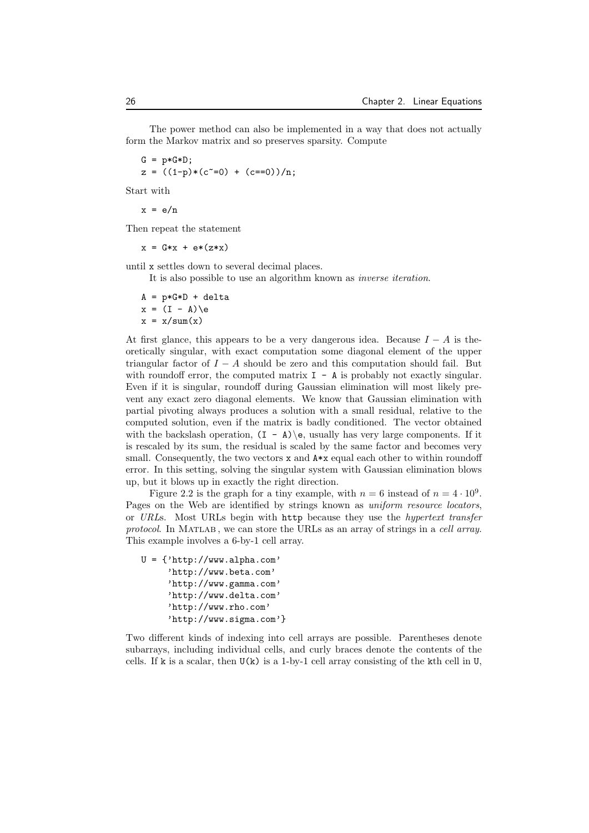The power method can also be implemented in a way that does not actually form the Markov matrix and so preserves sparsity. Compute

 $G = p*G*D;$  $z = ((1-p)*(c^*=0) + (c==0))/n;$ 

Start with

 $x = e/n$ 

Then repeat the statement

 $x = G*x + e*(z*x)$ 

until x settles down to several decimal places.

It is also possible to use an algorithm known as *inverse iteration*.

 $A = p*G*D + delta$  $x = (I - A)\ee$  $x = x/sum(x)$ 

At first glance, this appears to be a very dangerous idea. Because  $I - A$  is theoretically singular, with exact computation some diagonal element of the upper triangular factor of  $I - A$  should be zero and this computation should fail. But with roundoff error, the computed matrix  $I - A$  is probably not exactly singular. Even if it is singular, roundoff during Gaussian elimination will most likely prevent any exact zero diagonal elements. We know that Gaussian elimination with partial pivoting always produces a solution with a small residual, relative to the computed solution, even if the matrix is badly conditioned. The vector obtained with the backslash operation,  $(I - A)\e$ , usually has very large components. If it is rescaled by its sum, the residual is scaled by the same factor and becomes very small. Consequently, the two vectors x and  $A \star x$  equal each other to within roundoff error. In this setting, solving the singular system with Gaussian elimination blows up, but it blows up in exactly the right direction.

Figure 2.2 is the graph for a tiny example, with  $n = 6$  instead of  $n = 4 \cdot 10^9$ . Pages on the Web are identified by strings known as *uniform resource locators*, or *URL*s. Most URLs begin with http because they use the *hypertext transfer protocol*. In Matlab , we can store the URLs as an array of strings in a *cell array*. This example involves a 6-by-1 cell array.

```
U = {'http://www.alpha.com'
     'http://www.beta.com'
     'http://www.gamma.com'
     'http://www.delta.com'
     'http://www.rho.com'
     'http://www.sigma.com'}
```
Two different kinds of indexing into cell arrays are possible. Parentheses denote subarrays, including individual cells, and curly braces denote the contents of the cells. If k is a scalar, then  $U(k)$  is a 1-by-1 cell array consisting of the kth cell in U,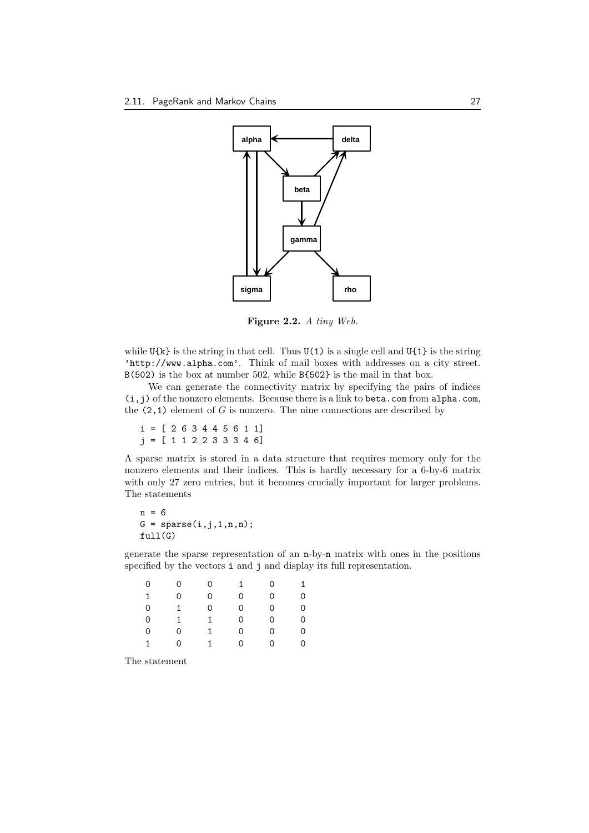

**Figure 2.2.** *A tiny Web.*

while  $U\{k\}$  is the string in that cell. Thus  $U(1)$  is a single cell and  $U\{1\}$  is the string 'http://www.alpha.com'. Think of mail boxes with addresses on a city street. B(502) is the box at number 502, while B{502} is the mail in that box.

We can generate the connectivity matrix by specifying the pairs of indices  $(i, j)$  of the nonzero elements. Because there is a link to beta.com from alpha.com, the  $(2,1)$  element of *G* is nonzero. The nine connections are described by

i = [ 2 6 3 4 4 5 6 1 1] j = [ 1 1 2 2 3 3 3 4 6]

A sparse matrix is stored in a data structure that requires memory only for the nonzero elements and their indices. This is hardly necessary for a 6-by-6 matrix with only 27 zero entries, but it becomes crucially important for larger problems. The statements

```
n = 6
G = sparse(i,j,1,n,n);full(G)
```
generate the sparse representation of an n-by-n matrix with ones in the positions specified by the vectors i and j and display its full representation.

| $\Omega$ | 0 | 0        | $\overline{1}$ | 0 | $\mathbf{1}$ |
|----------|---|----------|----------------|---|--------------|
| 1        | 0 | 0        | 0              | 0 | 0            |
| 0        | 1 | $\Omega$ | $\Omega$       | 0 | 0            |
| 0        | 1 | 1        | $\Omega$       | 0 | 0            |
| $\Omega$ | 0 | 1        | 0              | 0 | 0            |
| 1        | 0 | 1        | 0              | 0 | 0            |

The statement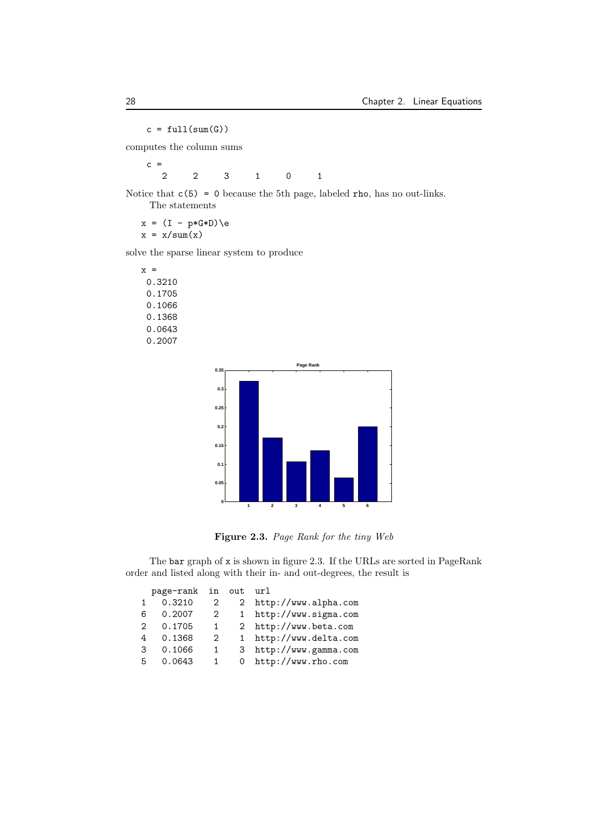$c = full(sum(G))$ 

computes the column sums

 $c =$ 2 2 3 1 0 1

Notice that  $c(5) = 0$  because the 5th page, labeled rho, has no out-links. The statements

 $x = (I - p*G*D)$ 

 $x = x/sum(x)$ 

solve the sparse linear system to produce

 $x =$ 0.3210 0.1705 0.1066 0.1368 0.0643 0.2007



**Figure 2.3.** *Page Rank for the tiny Web*

The bar graph of x is shown in figure 2.3. If the URLs are sorted in PageRank order and listed along with their in- and out-degrees, the result is

|               | page-rank in out |                      |              | url                   |
|---------------|------------------|----------------------|--------------|-----------------------|
| $\mathbf{1}$  | 0.3210           | $\mathbf{2}^{\circ}$ | 2            | http://www.alpha.com  |
| 6             | 0.2007           | 2                    | $\mathbf{1}$ | http://www.sigma.com  |
| $\mathcal{P}$ | 0.1705           | $\mathbf{1}$         |              | 2 http://www.beta.com |
| 4             | 0.1368           | 2                    | $\mathbf{1}$ | http://www.delta.com  |
| 3             | 0.1066           | 1.                   | 3            | http://www.gamma.com  |
| Б.            | 0.0643           | 1.                   | 0            | http://www.rho.com    |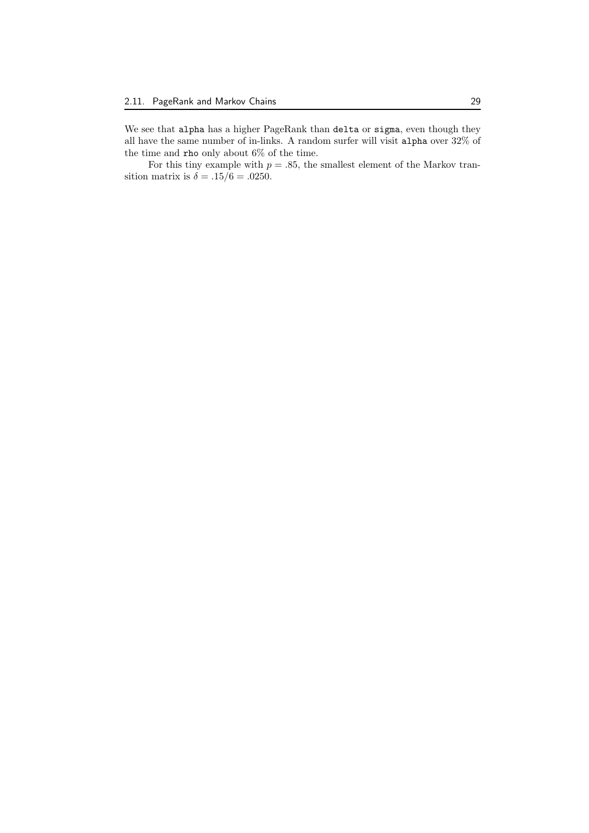We see that alpha has a higher PageRank than delta or sigma, even though they all have the same number of in-links. A random surfer will visit alpha over 32% of the time and rho only about 6% of the time.

For this tiny example with  $p = .85$ , the smallest element of the Markov transition matrix is  $\delta = .15/6 = .0250$ .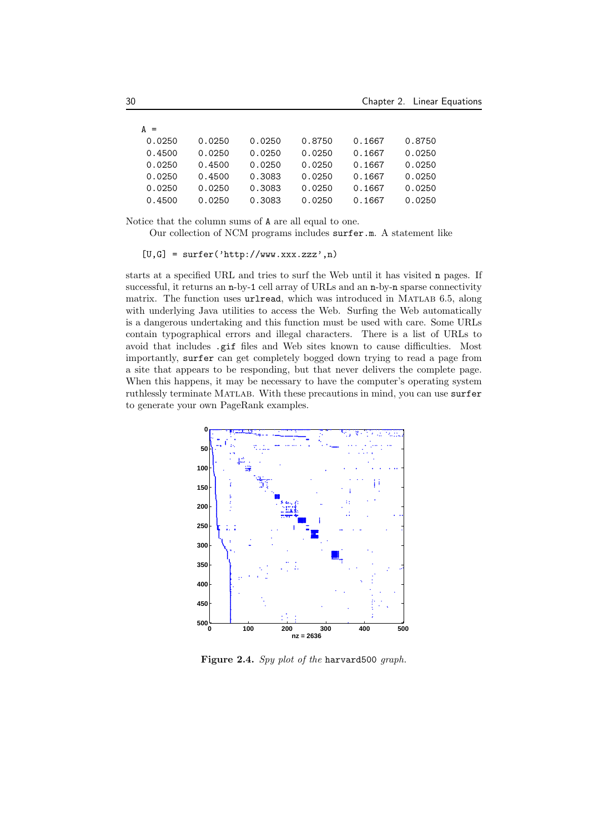| $A =$  |        |        |        |        |        |
|--------|--------|--------|--------|--------|--------|
| 0.0250 | 0.0250 | 0.0250 | 0.8750 | 0.1667 | 0.8750 |
| 0.4500 | 0.0250 | 0.0250 | 0.0250 | 0.1667 | 0.0250 |
| 0.0250 | 0.4500 | 0.0250 | 0.0250 | 0.1667 | 0.0250 |
| 0.0250 | 0.4500 | 0.3083 | 0.0250 | 0.1667 | 0.0250 |
| 0.0250 | 0.0250 | 0.3083 | 0.0250 | 0.1667 | 0.0250 |
| 0.4500 | 0.0250 | 0.3083 | 0.0250 | 0.1667 | 0.0250 |

Notice that the column sums of A are all equal to one.

Our collection of NCM programs includes surfer.m. A statement like

 $[U,G] = \text{surface('http://www.xxx.zzzz',n)}$ 

starts at a specified URL and tries to surf the Web until it has visited n pages. If successful, it returns an n-by-1 cell array of URLs and an n-by-n sparse connectivity matrix. The function uses urlread, which was introduced in MATLAB 6.5, along with underlying Java utilities to access the Web. Surfing the Web automatically is a dangerous undertaking and this function must be used with care. Some URLs contain typographical errors and illegal characters. There is a list of URLs to avoid that includes .gif files and Web sites known to cause difficulties. Most importantly, surfer can get completely bogged down trying to read a page from a site that appears to be responding, but that never delivers the complete page. When this happens, it may be necessary to have the computer's operating system ruthlessly terminate Matlab. With these precautions in mind, you can use surfer to generate your own PageRank examples.



**Figure 2.4.** *Spy plot of the* harvard500 *graph.*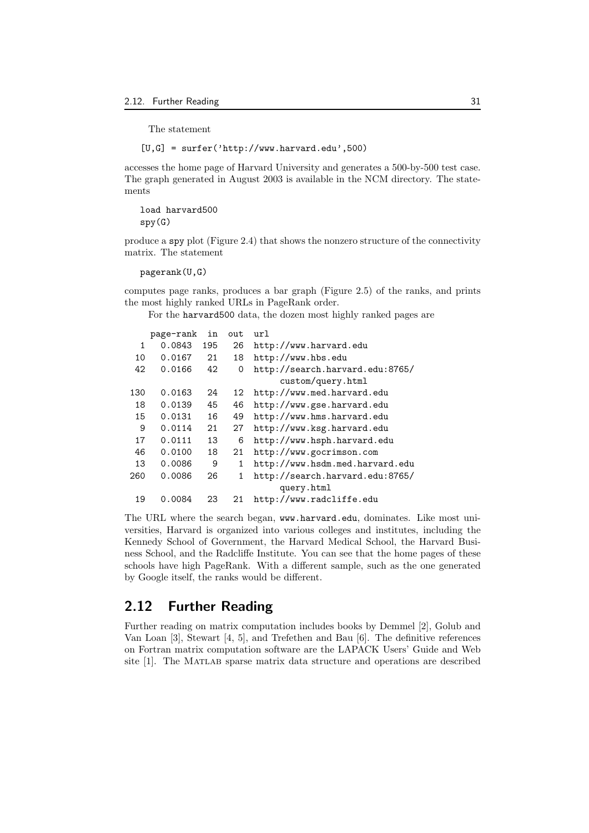The statement

 $[U,G] = \text{surface('http://www.harvard.edu',500)}$ 

accesses the home page of Harvard University and generates a 500-by-500 test case. The graph generated in August 2003 is available in the NCM directory. The statements

load harvard500  $spy(G)$ 

produce a spy plot (Figure 2.4) that shows the nonzero structure of the connectivity matrix. The statement

pagerank(U,G)

computes page ranks, produces a bar graph (Figure 2.5) of the ranks, and prints the most highly ranked URLs in PageRank order.

For the harvard500 data, the dozen most highly ranked pages are

|              | page-rank | in  | out          | url                             |
|--------------|-----------|-----|--------------|---------------------------------|
| $\mathbf{1}$ | 0.0843    | 195 | 26           | http://www.harvard.edu          |
| 10           | 0.0167    | 21  | 18           | http://www.hbs.edu              |
| 42           | 0.0166    | 42  | 0            | http://search.harvard.edu:8765/ |
|              |           |     |              | custom/query.html               |
| 130          | 0.0163    | 24  | 12           | http://www.med.harvard.edu      |
| 18           | 0.0139    | 45  | 46           | http://www.gse.harvard.edu      |
| 15           | 0.0131    | 16  | 49           | http://www.hms.harvard.edu      |
| 9            | 0.0114    | 21  | 27           | http://www.ksg.harvard.edu      |
| 17           | 0.0111    | 13  | 6            | http://www.hsph.harvard.edu     |
| 46           | 0.0100    | 18  | 21           | http://www.gocrimson.com        |
| 13           | 0.0086    | 9   | $\mathbf{1}$ | http://www.hsdm.med.harvard.edu |
| 260          | 0.0086    | 26  | 1            | http://search.harvard.edu:8765/ |
|              |           |     |              | query.html                      |
| 19           | 0.0084    | 23  | 21           | http://www.radcliffe.edu        |
|              |           |     |              |                                 |

The URL where the search began, www.harvard.edu, dominates. Like most universities, Harvard is organized into various colleges and institutes, including the Kennedy School of Government, the Harvard Medical School, the Harvard Business School, and the Radcliffe Institute. You can see that the home pages of these schools have high PageRank. With a different sample, such as the one generated by Google itself, the ranks would be different.

#### **2.12 Further Reading**

Further reading on matrix computation includes books by Demmel [2], Golub and Van Loan [3], Stewart [4, 5], and Trefethen and Bau [6]. The definitive references on Fortran matrix computation software are the LAPACK Users' Guide and Web site [1]. The MATLAB sparse matrix data structure and operations are described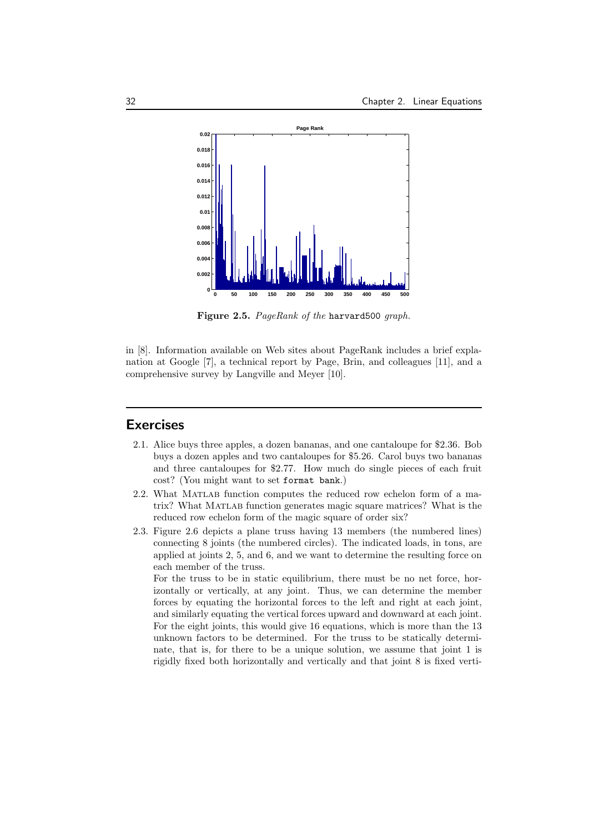

**Figure 2.5.** *PageRank of the* harvard500 *graph.*

in [8]. Information available on Web sites about PageRank includes a brief explanation at Google [7], a technical report by Page, Brin, and colleagues [11], and a comprehensive survey by Langville and Meyer [10].

#### **Exercises**

- 2.1. Alice buys three apples, a dozen bananas, and one cantaloupe for \$2.36. Bob buys a dozen apples and two cantaloupes for \$5.26. Carol buys two bananas and three cantaloupes for \$2.77. How much do single pieces of each fruit cost? (You might want to set format bank.)
- 2.2. What Matlab function computes the reduced row echelon form of a matrix? What Matlab function generates magic square matrices? What is the reduced row echelon form of the magic square of order six?
- 2.3. Figure 2.6 depicts a plane truss having 13 members (the numbered lines) connecting 8 joints (the numbered circles). The indicated loads, in tons, are applied at joints 2, 5, and 6, and we want to determine the resulting force on each member of the truss.

For the truss to be in static equilibrium, there must be no net force, horizontally or vertically, at any joint. Thus, we can determine the member forces by equating the horizontal forces to the left and right at each joint, and similarly equating the vertical forces upward and downward at each joint. For the eight joints, this would give 16 equations, which is more than the 13 unknown factors to be determined. For the truss to be statically determinate, that is, for there to be a unique solution, we assume that joint 1 is rigidly fixed both horizontally and vertically and that joint 8 is fixed verti-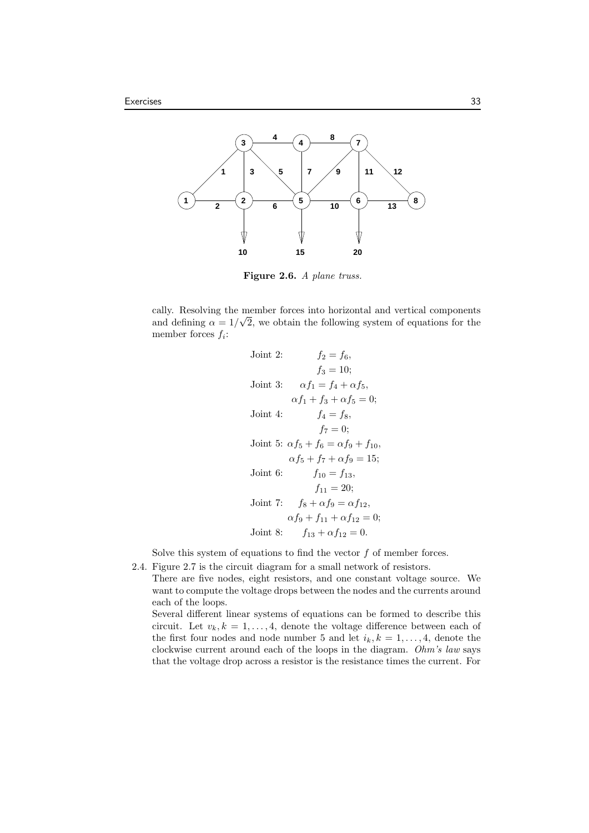

**Figure 2.6.** *A plane truss.*

cally. Resolving the member forces into horizontal and vertical components and defining  $\alpha = 1/\sqrt{2}$ , we obtain the following system of equations for the member forces *f<sup>i</sup>* :

Joint 2: 
$$
f_2 = f_6
$$
,  
\n $f_3 = 10$ ;  
\nJoint 3:  $\alpha f_1 = f_4 + \alpha f_5$ ,  
\n $\alpha f_1 + f_3 + \alpha f_5 = 0$ ;  
\nJoint 4:  $f_4 = f_8$ ,  
\n $f_7 = 0$ ;  
\nJoint 5:  $\alpha f_5 + f_6 = \alpha f_9 + f_{10}$ ,  
\n $\alpha f_5 + f_7 + \alpha f_9 = 15$ ;  
\nJoint 6:  $f_{10} = f_{13}$ ,  
\n $f_{11} = 20$ ;  
\nJoint 7:  $f_8 + \alpha f_9 = \alpha f_{12}$ ,  
\n $\alpha f_9 + f_{11} + \alpha f_{12} = 0$ ;  
\nJoint 8:  $f_{13} + \alpha f_{12} = 0$ .

Solve this system of equations to find the vector *f* of member forces.

2.4. Figure 2.7 is the circuit diagram for a small network of resistors.

There are five nodes, eight resistors, and one constant voltage source. We want to compute the voltage drops between the nodes and the currents around each of the loops.

Several different linear systems of equations can be formed to describe this circuit. Let  $v_k, k = 1, \ldots, 4$ , denote the voltage difference between each of the first four nodes and node number 5 and let  $i_k, k = 1, \ldots, 4$ , denote the clockwise current around each of the loops in the diagram. *Ohm's law* says that the voltage drop across a resistor is the resistance times the current. For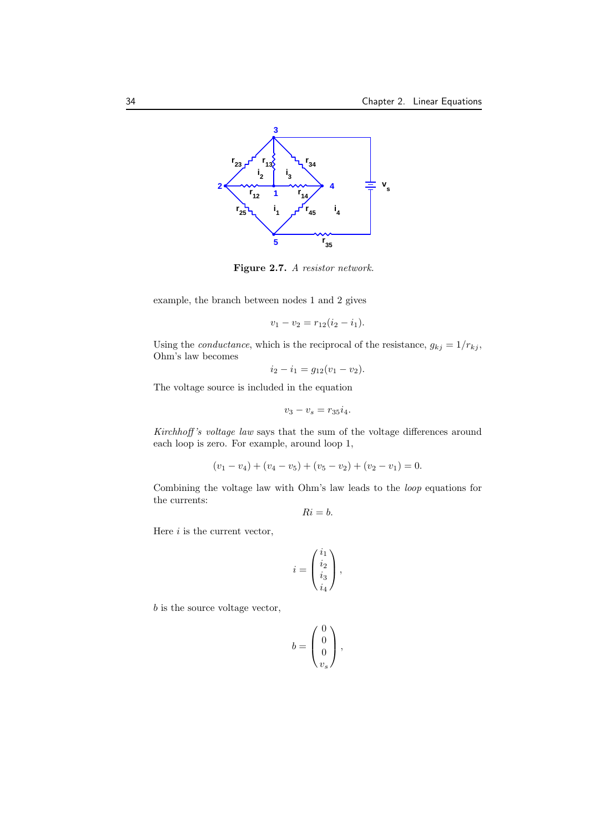

**Figure 2.7.** *A resistor network.*

example, the branch between nodes 1 and 2 gives

$$
v_1 - v_2 = r_{12}(i_2 - i_1).
$$

Using the *conductance*, which is the reciprocal of the resistance,  $g_{kj} = 1/r_{kj}$ , Ohm's law becomes

$$
i_2 - i_1 = g_{12}(v_1 - v_2).
$$

The voltage source is included in the equation

$$
v_3 - v_s = r_{35}i_4.
$$

*Kirchhoff 's voltage law* says that the sum of the voltage differences around each loop is zero. For example, around loop 1,

$$
(v_1 - v_4) + (v_4 - v_5) + (v_5 - v_2) + (v_2 - v_1) = 0.
$$

Combining the voltage law with Ohm's law leads to the *loop* equations for the currents:

$$
Ri = b.
$$

Here *i* is the current vector,

$$
i = \begin{pmatrix} i_1 \\ i_2 \\ i_3 \\ i_4 \end{pmatrix},
$$

*b* is the source voltage vector,

$$
b = \begin{pmatrix} 0 \\ 0 \\ 0 \\ v_s \end{pmatrix},
$$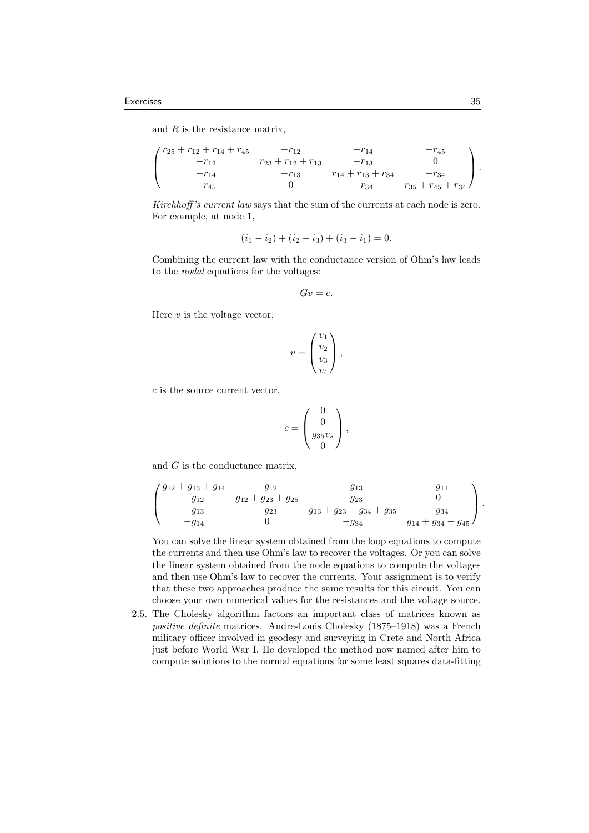and *R* is the resistance matrix,

| $r_{25} + r_{12} + r_{14} + r_{45}$ | $-r_{12}$                  | $-r_{14}$                  | $-r_{45}$                  |  |
|-------------------------------------|----------------------------|----------------------------|----------------------------|--|
| $-r_{12}$                           | $r_{23} + r_{12} + r_{13}$ | $-r_{13}$                  |                            |  |
| $-r_{14}$                           | $-r_{13}$                  | $r_{14} + r_{13} + r_{34}$ | $-r_{34}$                  |  |
| $-r_{45}$                           |                            | $-r_{34}$                  | $r_{35} + r_{45} + r_{34}$ |  |

*Kirchhoff 's current law* says that the sum of the currents at each node is zero. For example, at node 1,

$$
(i_1 - i_2) + (i_2 - i_3) + (i_3 - i_1) = 0.
$$

Combining the current law with the conductance version of Ohm's law leads to the *nodal* equations for the voltages:

$$
Gv=c.
$$

Here *v* is the voltage vector,

$$
v = \begin{pmatrix} v_1 \\ v_2 \\ v_3 \\ v_4 \end{pmatrix},
$$

*c* is the source current vector,

$$
c=\left(\begin{matrix}0\\0\\g_{35}v_s\\0\end{matrix}\right),
$$

and *G* is the conductance matrix,

$$
\begin{pmatrix}\n g_{12} + g_{13} + g_{14} & -g_{12} & -g_{13} & -g_{14} \\
 -g_{12} & g_{12} + g_{23} + g_{25} & -g_{23} & 0 \\
 -g_{13} & -g_{23} & g_{13} + g_{23} + g_{34} + g_{35} & -g_{34} \\
 -g_{14} & 0 & -g_{34} & g_{14} + g_{34} + g_{45}\n\end{pmatrix}.
$$

You can solve the linear system obtained from the loop equations to compute the currents and then use Ohm's law to recover the voltages. Or you can solve the linear system obtained from the node equations to compute the voltages and then use Ohm's law to recover the currents. Your assignment is to verify that these two approaches produce the same results for this circuit. You can choose your own numerical values for the resistances and the voltage source.

2.5. The Cholesky algorithm factors an important class of matrices known as *positive definite* matrices. Andre-Louis Cholesky (1875–1918) was a French military officer involved in geodesy and surveying in Crete and North Africa just before World War I. He developed the method now named after him to compute solutions to the normal equations for some least squares data-fitting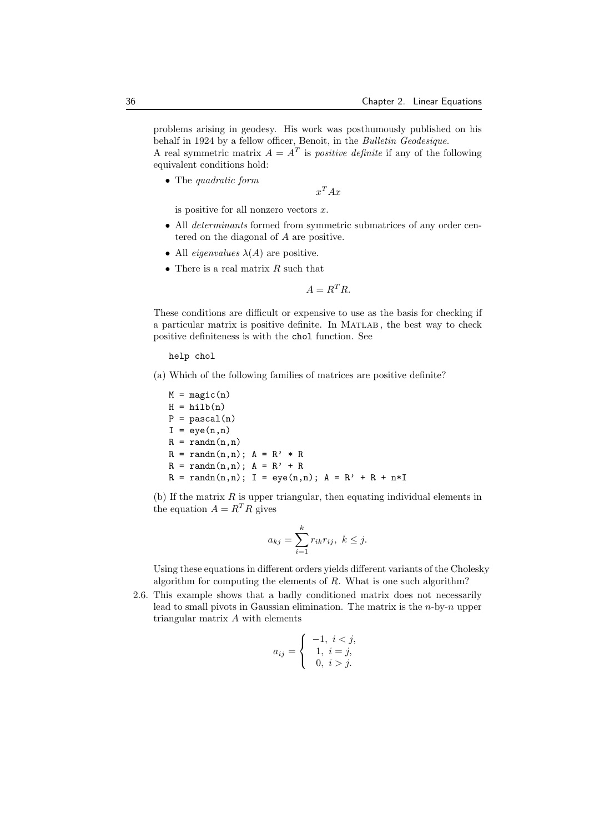problems arising in geodesy. His work was posthumously published on his behalf in 1924 by a fellow officer, Benoit, in the *Bulletin Geodesique*. A real symmetric matrix  $A = A^T$  is *positive definite* if any of the following equivalent conditions hold:

*•* The *quadratic form*

 $x^T A x$ 

is positive for all nonzero vectors *x*.

- *•* All *determinants* formed from symmetric submatrices of any order centered on the diagonal of *A* are positive.
- All *eigenvalues*  $\lambda(A)$  are positive.
- *•* There is a real matrix *R* such that

$$
A = R^T R.
$$

These conditions are difficult or expensive to use as the basis for checking if a particular matrix is positive definite. In Matlab , the best way to check positive definiteness is with the chol function. See

help chol

(a) Which of the following families of matrices are positive definite?

 $M = magic(n)$  $H = hilb(n)$  $P = pascal(n)$  $I = eve(n, n)$  $R = \text{randn}(n,n)$  $R = \text{randn}(n,n); A = R' * R$  $R = \text{randn}(n,n); A = R' + R$  $R = \text{randn}(n,n); I = eye(n,n); A = R' + R + n*I$ 

(b) If the matrix  $R$  is upper triangular, then equating individual elements in the equation  $A = R^T R$  gives

$$
a_{kj} = \sum_{i=1}^{k} r_{ik} r_{ij}, \ k \leq j.
$$

Using these equations in different orders yields different variants of the Cholesky algorithm for computing the elements of *R*. What is one such algorithm?

2.6. This example shows that a badly conditioned matrix does not necessarily lead to small pivots in Gaussian elimination. The matrix is the *n*-by-*n* upper triangular matrix *A* with elements

$$
a_{ij} = \begin{cases} -1, \ i < j, \\ 1, \ i = j, \\ 0, \ i > j. \end{cases}
$$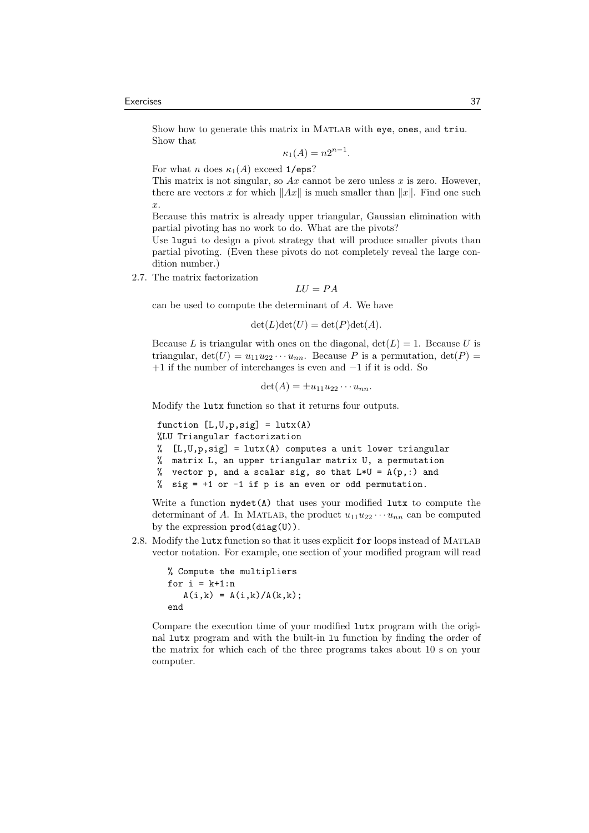Show how to generate this matrix in MATLAB with eye, ones, and triu. Show that

$$
\kappa_1(A) = n2^{n-1}.
$$

For what *n* does  $\kappa_1(A)$  exceed 1/eps?

This matrix is not singular, so *Ax* cannot be zero unless *x* is zero. However, there are vectors *x* for which  $||Ax||$  is much smaller than  $||x||$ . Find one such *x*.

Because this matrix is already upper triangular, Gaussian elimination with partial pivoting has no work to do. What are the pivots?

Use lugui to design a pivot strategy that will produce smaller pivots than partial pivoting. (Even these pivots do not completely reveal the large condition number.)

2.7. The matrix factorization

$$
LU=PA
$$

can be used to compute the determinant of *A*. We have

$$
\det(L)\det(U) = \det(P)\det(A).
$$

Because *L* is triangular with ones on the diagonal,  $det(L) = 1$ . Because *U* is triangular,  $det(U) = u_{11}u_{22} \cdots u_{nn}$ . Because P is a permutation,  $det(P)$ +1 if the number of interchanges is even and *−*1 if it is odd. So

$$
\det(A) = \pm u_{11}u_{22}\cdots u_{nn}.
$$

Modify the lutx function so that it returns four outputs.

function  $[L, U, p, sig] = \text{lutz}(A)$ %LU Triangular factorization % [L,U,p,sig] = lutx(A) computes a unit lower triangular % matrix L, an upper triangular matrix U, a permutation % vector p, and a scalar sig, so that  $L*U = A(p,:)$  and % sig =  $+1$  or  $-1$  if p is an even or odd permutation.

Write a function mydet(A) that uses your modified lutx to compute the determinant of *A*. In MATLAB, the product  $u_{11}u_{22} \cdots u_{nn}$  can be computed by the expression  $\text{prod}(diag(U))$ .

2.8. Modify the lutx function so that it uses explicit for loops instead of MATLAB vector notation. For example, one section of your modified program will read

> % Compute the multipliers for  $i = k+1:n$  $A(i, k) = A(i, k) / A(k, k);$ end

Compare the execution time of your modified lutx program with the original lutx program and with the built-in lu function by finding the order of the matrix for which each of the three programs takes about 10 s on your computer.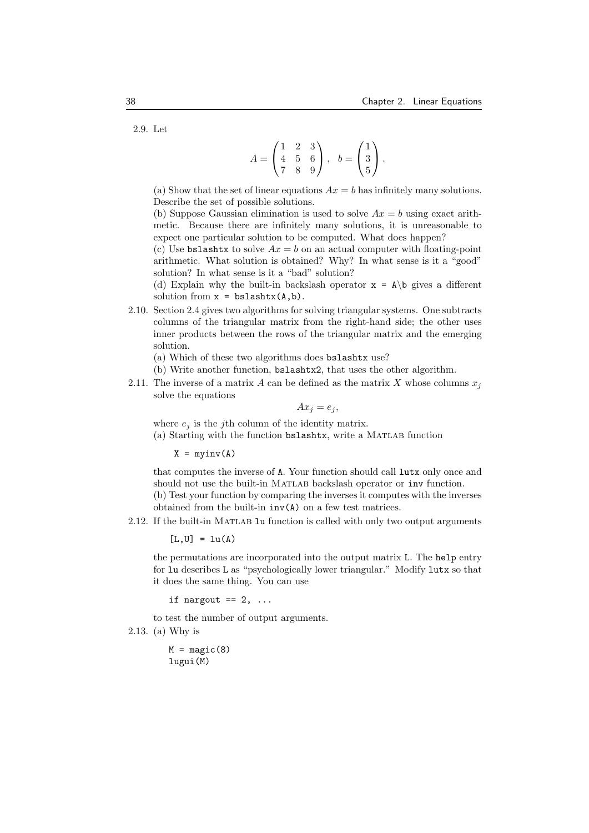2.9. Let

$$
A = \begin{pmatrix} 1 & 2 & 3 \\ 4 & 5 & 6 \\ 7 & 8 & 9 \end{pmatrix}, \quad b = \begin{pmatrix} 1 \\ 3 \\ 5 \end{pmatrix}.
$$

(a) Show that the set of linear equations  $Ax = b$  has infinitely many solutions. Describe the set of possible solutions.

(b) Suppose Gaussian elimination is used to solve  $Ax = b$  using exact arithmetic. Because there are infinitely many solutions, it is unreasonable to expect one particular solution to be computed. What does happen?

(c) Use **bslashtx** to solve  $Ax = b$  on an actual computer with floating-point arithmetic. What solution is obtained? Why? In what sense is it a "good" solution? In what sense is it a "bad" solution?

(d) Explain why the built-in backslash operator x = A*\*b gives a different solution from  $x = bslashtx(A,b)$ .

- 2.10. Section 2.4 gives two algorithms for solving triangular systems. One subtracts columns of the triangular matrix from the right-hand side; the other uses inner products between the rows of the triangular matrix and the emerging solution.
	- (a) Which of these two algorithms does bslashtx use?
	- (b) Write another function, bslashtx2, that uses the other algorithm.
- 2.11. The inverse of a matrix *A* can be defined as the matrix *X* whose columns  $x_j$ solve the equations

 $Ax_j = e_j$ 

where  $e_j$  is the *j*th column of the identity matrix.

(a) Starting with the function bslashtx, write a MATLAB function

 $X = myinv(A)$ 

that computes the inverse of A. Your function should call lutx only once and should not use the built-in Matlab backslash operator or inv function.

(b) Test your function by comparing the inverses it computes with the inverses obtained from the built-in inv(A) on a few test matrices.

2.12. If the built-in MATLAB lu function is called with only two output arguments

 $[L,U] = lu(A)$ 

the permutations are incorporated into the output matrix L. The help entry for lu describes L as "psychologically lower triangular." Modify lutx so that it does the same thing. You can use

if nargout  $== 2$ , ...

to test the number of output arguments.

2.13. (a) Why is

 $M = \text{magic}(8)$ lugui(M)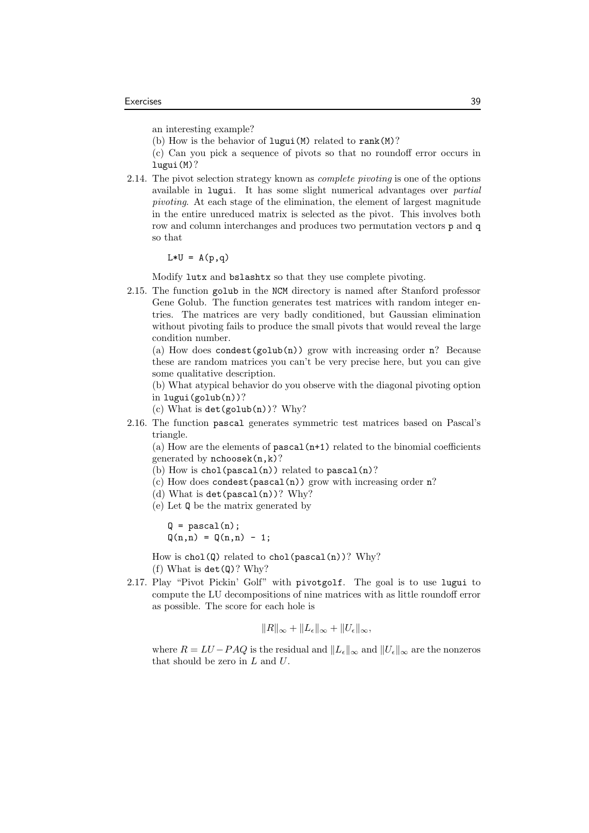an interesting example?

(c) Can you pick a sequence of pivots so that no roundoff error occurs in lugui(M)?

2.14. The pivot selection strategy known as *complete pivoting* is one of the options available in lugui. It has some slight numerical advantages over *partial pivoting*. At each stage of the elimination, the element of largest magnitude in the entire unreduced matrix is selected as the pivot. This involves both row and column interchanges and produces two permutation vectors p and q so that

 $L*U = A(p,q)$ 

Modify lutx and bslashtx so that they use complete pivoting.

2.15. The function golub in the NCM directory is named after Stanford professor Gene Golub. The function generates test matrices with random integer entries. The matrices are very badly conditioned, but Gaussian elimination without pivoting fails to produce the small pivots that would reveal the large condition number.

(a) How does condest(golub(n)) grow with increasing order n? Because these are random matrices you can't be very precise here, but you can give some qualitative description.

(b) What atypical behavior do you observe with the diagonal pivoting option in  $lugui(golub(n))$ ?

- (c) What is  $\det(\text{golub}(n))$ ? Why?
- 2.16. The function pascal generates symmetric test matrices based on Pascal's triangle.

(a) How are the elements of  $pascal(n+1)$  related to the binomial coefficients generated by nchoosek(n,k)?

(b) How is  $chol(pascal(n))$  related to  $pascal(n)$ ?

- (c) How does condest(pascal(n)) grow with increasing order n?
- (d) What is  $det(pascal(n))$ ? Why?
- (e) Let Q be the matrix generated by

 $Q = pascal(n);$  $Q(n,n) = Q(n,n) - 1;$ 

How is  $chol(Q)$  related to  $chol(pascal(n))$ ? Why? (f) What is  $det(Q)$ ? Why?

2.17. Play "Pivot Pickin' Golf" with pivotgolf. The goal is to use lugui to compute the LU decompositions of nine matrices with as little roundoff error as possible. The score for each hole is

$$
||R||_{\infty} + ||L_{\epsilon}||_{\infty} + ||U_{\epsilon}||_{\infty},
$$

where  $R = LU - PAQ$  is the residual and  $||L_{\epsilon}||_{\infty}$  and  $||U_{\epsilon}||_{\infty}$  are the nonzeros that should be zero in *L* and *U*.

<sup>(</sup>b) How is the behavior of lugui(M) related to rank(M)?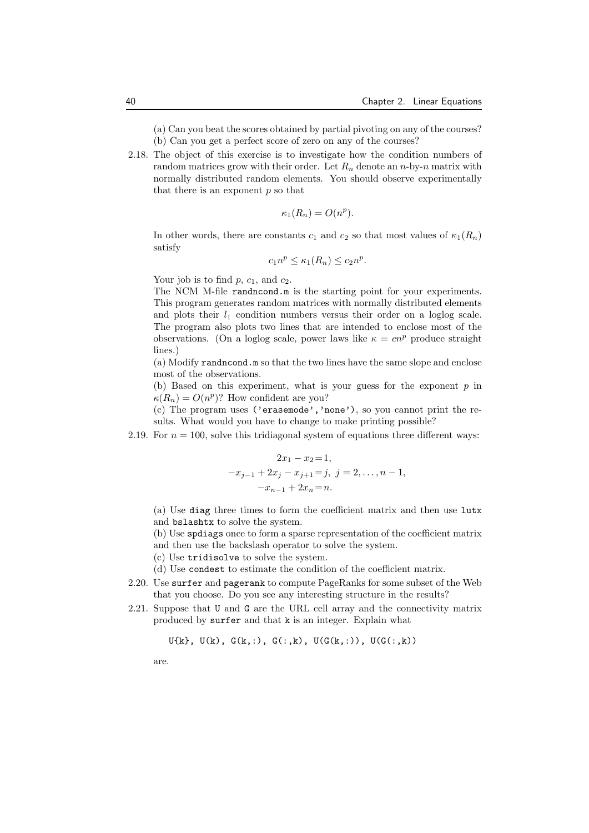(a) Can you beat the scores obtained by partial pivoting on any of the courses? (b) Can you get a perfect score of zero on any of the courses?

2.18. The object of this exercise is to investigate how the condition numbers of random matrices grow with their order. Let  $R_n$  denote an *n*-by-*n* matrix with normally distributed random elements. You should observe experimentally that there is an exponent *p* so that

$$
\kappa_1(R_n) = O(n^p).
$$

In other words, there are constants  $c_1$  and  $c_2$  so that most values of  $\kappa_1(R_n)$ satisfy

$$
c_1 n^p \le \kappa_1(R_n) \le c_2 n^p.
$$

Your job is to find  $p$ ,  $c_1$ , and  $c_2$ .

The NCM M-file randncond.m is the starting point for your experiments. This program generates random matrices with normally distributed elements and plots their  $l_1$  condition numbers versus their order on a loglog scale. The program also plots two lines that are intended to enclose most of the observations. (On a loglog scale, power laws like  $\kappa = cn^p$  produce straight lines.)

(a) Modify randncond.m so that the two lines have the same slope and enclose most of the observations.

(b) Based on this experiment, what is your guess for the exponent *p* in  $\kappa(R_n) = O(n^p)$ ? How confident are you?

(c) The program uses ('erasemode','none'), so you cannot print the results. What would you have to change to make printing possible?

2.19. For  $n = 100$ , solve this tridiagonal system of equations three different ways:

$$
2x_1 - x_2 = 1,
$$
  

$$
-x_{j-1} + 2x_j - x_{j+1} = j, \ j = 2, ..., n - 1,
$$
  

$$
-x_{n-1} + 2x_n = n.
$$

(a) Use diag three times to form the coefficient matrix and then use lutx and bslashtx to solve the system.

(b) Use spdiags once to form a sparse representation of the coefficient matrix and then use the backslash operator to solve the system.

(c) Use tridisolve to solve the system.

- (d) Use condest to estimate the condition of the coefficient matrix.
- 2.20. Use surfer and pagerank to compute PageRanks for some subset of the Web that you choose. Do you see any interesting structure in the results?
- 2.21. Suppose that U and G are the URL cell array and the connectivity matrix produced by surfer and that k is an integer. Explain what

 $U\{k\}, U(k), G(k,:), G(:,k), U(G(k,:)), U(G(:,k))$ 

are.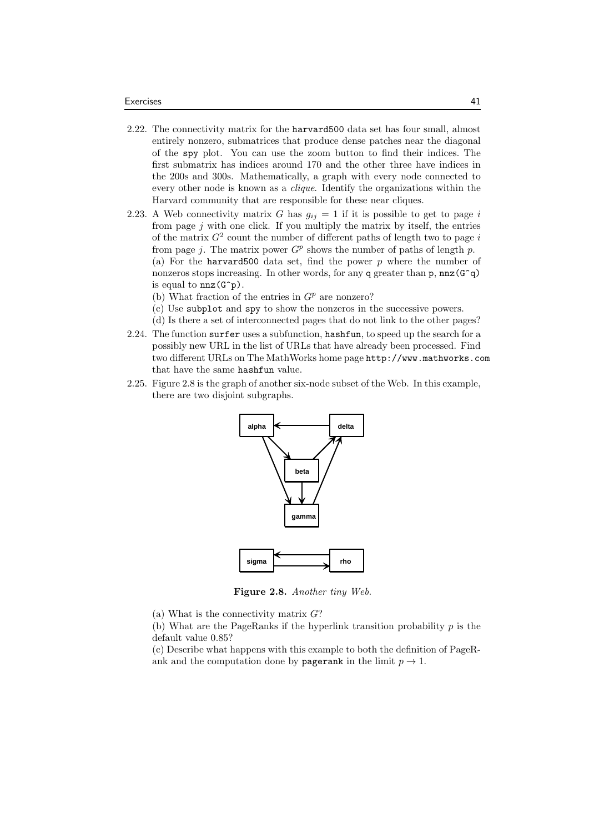- 2.22. The connectivity matrix for the harvard500 data set has four small, almost entirely nonzero, submatrices that produce dense patches near the diagonal of the spy plot. You can use the zoom button to find their indices. The first submatrix has indices around 170 and the other three have indices in the 200s and 300s. Mathematically, a graph with every node connected to every other node is known as a *clique*. Identify the organizations within the Harvard community that are responsible for these near cliques.
- 2.23. A Web connectivity matrix *G* has  $g_{ij} = 1$  if it is possible to get to page *i* from page *j* with one click. If you multiply the matrix by itself, the entries of the matrix *G*<sup>2</sup> count the number of different paths of length two to page *i* from page  $j$ . The matrix power  $G^p$  shows the number of paths of length  $p$ . (a) For the harvard500 data set, find the power *p* where the number of nonzeros stops increasing. In other words, for any q greater than  $p$ ,  $nnz(G<sup>\sim</sup>q)$ is equal to  $nnz(G<sup>o</sup>p)$ .
	- (b) What fraction of the entries in *G<sup>p</sup>* are nonzero?
	- (c) Use subplot and spy to show the nonzeros in the successive powers.
	- (d) Is there a set of interconnected pages that do not link to the other pages?
- 2.24. The function surfer uses a subfunction, hashfun, to speed up the search for a possibly new URL in the list of URLs that have already been processed. Find two different URLs on The MathWorks home page http://www.mathworks.com that have the same hashfun value.
- 2.25. Figure 2.8 is the graph of another six-node subset of the Web. In this example, there are two disjoint subgraphs.



**Figure 2.8.** *Another tiny Web.*

(a) What is the connectivity matrix *G*?

(b) What are the PageRanks if the hyperlink transition probability *p* is the default value 0*.*85?

(c) Describe what happens with this example to both the definition of PageRank and the computation done by **pagerank** in the limit  $p \rightarrow 1$ .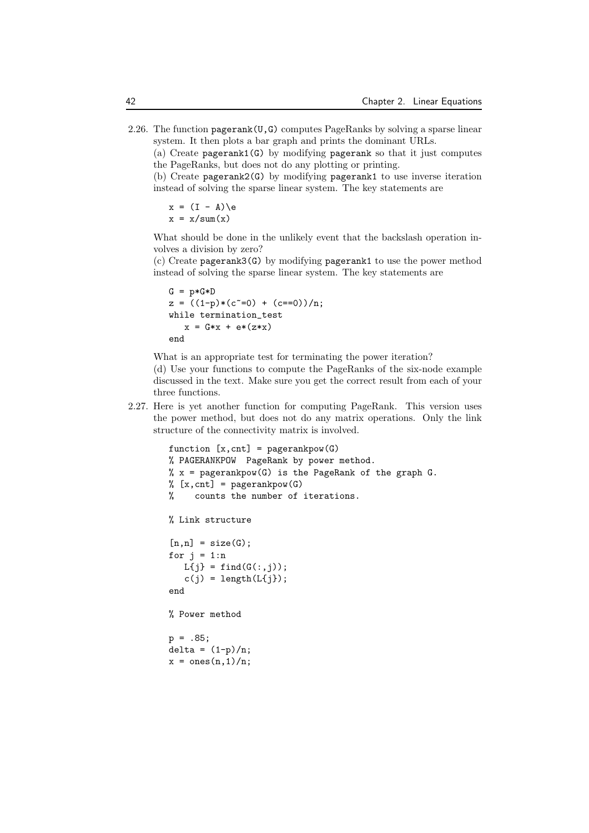2.26. The function pagerank( $U$ , $G$ ) computes PageRanks by solving a sparse linear system. It then plots a bar graph and prints the dominant URLs.

(a) Create pagerank1(G) by modifying pagerank so that it just computes the PageRanks, but does not do any plotting or printing.

(b) Create pagerank2(G) by modifying pagerank1 to use inverse iteration instead of solving the sparse linear system. The key statements are

 $x = (I - A)\ee$  $x = x/sum(x)$ 

What should be done in the unlikely event that the backslash operation involves a division by zero?

(c) Create pagerank3(G) by modifying pagerank1 to use the power method instead of solving the sparse linear system. The key statements are

```
G = p*G*Dz = ((1-p)*(c^*=0) + (c==0))/n;while termination_test
   x = G * x + e * (z * x)end
```
What is an appropriate test for terminating the power iteration?

(d) Use your functions to compute the PageRanks of the six-node example discussed in the text. Make sure you get the correct result from each of your three functions.

2.27. Here is yet another function for computing PageRank. This version uses the power method, but does not do any matrix operations. Only the link structure of the connectivity matrix is involved.

```
function [x, \text{cnt}] = \text{pagerankpow}(G)% PAGERANKPOW PageRank by power method.
\% x = pagerankpow(G) is the PageRank of the graph G.
\chi [x,cnt] = pagerankpow(G)
% counts the number of iterations.
% Link structure
[n,n] = size(G);for j = 1:nL{j} = find(G(:,j));c(j) = length(L{j});end
% Power method
p = .85;delta = (1-p)/n;
x = \text{ones}(n,1)/n;
```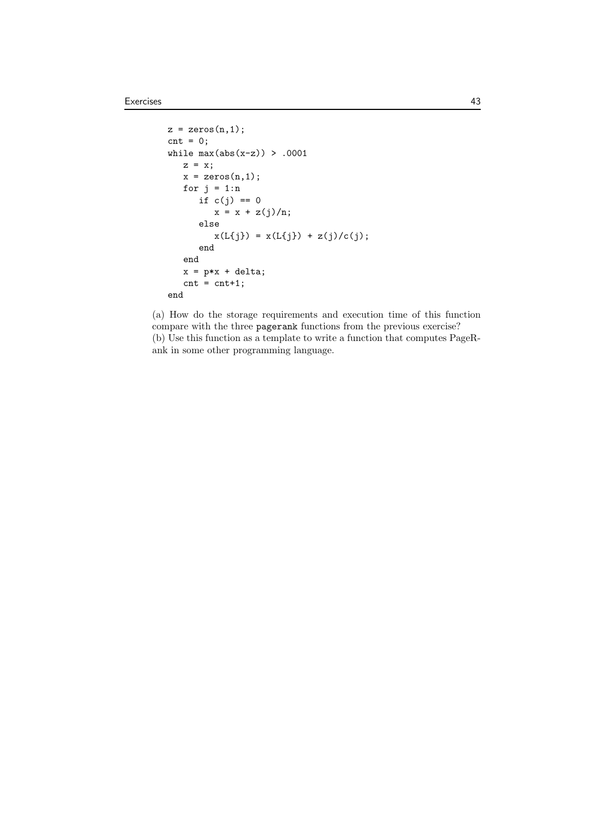```
z = zeros(n, 1);cnt = 0;while max(abs(x-z)) > .0001z = x;x = zeros(n, 1);for j = 1:nif c(j) == 0x = x + z(j)/n;else
        x(L{j}) = x(L{j}) + z(j)/c(j);end
  end
  x = p*x + delta;cnt = cnt + 1;end
```
(a) How do the storage requirements and execution time of this function compare with the three pagerank functions from the previous exercise? (b) Use this function as a template to write a function that computes PageRank in some other programming language.